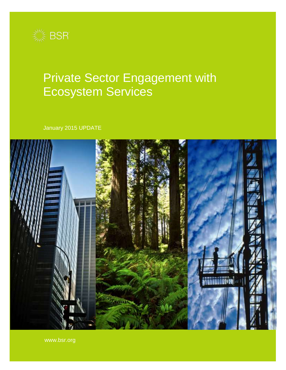

# Private Sector Engagement with Ecosystem Services

January 2015 UPDATE



www.bsr.org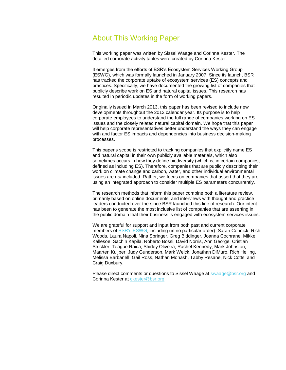# About This Working Paper

This working paper was written by Sissel Waage and Corinna Kester. The detailed corporate activity tables were created by Corinna Kester.

It emerges from the efforts of BSR's Ecosystem Services Working Group (ESWG), which was formally launched in January 2007. Since its launch, BSR has tracked the corporate uptake of ecosystem services (ES) concepts and practices. Specifically, we have documented the growing list of companies that publicly describe work on ES and natural capital issues. This research has resulted in periodic updates in the form of working papers.

Originally issued in March 2013, this paper has been revised to include new developments throughout the 2013 calendar year. Its purpose is to help corporate employees to understand the full range of companies working on ES issues and the closely related natural capital domain. We hope that this paper will help corporate representatives better understand the ways they can engage with and factor ES impacts and dependencies into business decision-making processes.

This paper's scope is restricted to tracking companies that explicitly name ES and natural capital in their own publicly available materials, which also sometimes occurs in how they define biodiversity (which is, in certain companies, defined as including ES). Therefore, companies that are publicly describing their work on climate change and carbon, water, and other individual environmental issues are not included. Rather, we focus on companies that assert that they are using an integrated approach to consider multiple ES parameters concurrently.

The research methods that inform this paper combine both a literature review, primarily based on online documents, and interviews with thought and practice leaders conducted over the since BSR launched this line of research. Our intent has been to generate the most inclusive list of companies that are asserting in the public domain that their business is engaged with ecosystem services issues.

We are grateful for support and input from both past and current corporate members of [BSR's ESWG](http://www.bsr.org/en/our-work/working-groups/ecosystem-services-tools-markets), including (in no particular order): Sarah Connick, Rich Woods, Laura Napoli, Nina Springer, Greg Biddinger, Joanna Cochrane, Mikkel Kallesoe, Sachin Kapila, Roberto Bossi, David Norris, Ann George, Cristian Strickler, Teague Raica, Shirley Oliveira, Rachel Kennedy, Mark Johnston, Maarten Kuijper, Judy Gunderson, Mark Weick, Jonathan DiMuro, Rich Helling, Melissa Barbanell, Gail Ross, Nathan Monash, Tabby Resane, Nick Cotts, and Craig Duxbury.

Please direct comments or questions to Sissel Waage at [swaage@bsr.org](mailto:swaage@bsr.org) and Corinna Kester at [ckester@bsr.org.](mailto:ckester@bsr.org)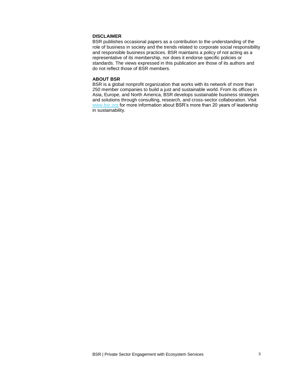### **DISCLAIMER**

BSR publishes occasional papers as a contribution to the understanding of the role of business in society and the trends related to corporate social responsibility and responsible business practices. BSR maintains a policy of not acting as a representative of its membership, nor does it endorse specific policies or standards. The views expressed in this publication are those of its authors and do not reflect those of BSR members.

#### **ABOUT BSR**

BSR is a global nonprofit organization that works with its network of more than 250 member companies to build a just and sustainable world. From its offices in Asia, Europe, and North America, BSR develops sustainable business strategies and solutions through consulting, research, and cross-sector collaboration. Visit [www.bsr.org](http://www.bsr.org/) for more information about BSR's more than 20 years of leadership in sustainability.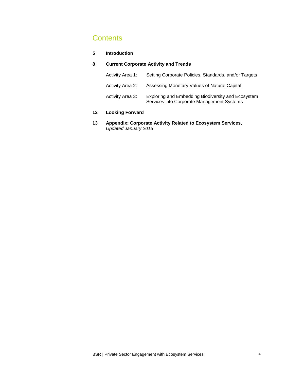# **Contents**

### **5 Introduction**

### **8 Current Corporate Activity and Trends**

| Activity Area 1: | Setting Corporate Policies, Standards, and/or Targets                                            |
|------------------|--------------------------------------------------------------------------------------------------|
| Activity Area 2: | Assessing Monetary Values of Natural Capital                                                     |
| Activity Area 3: | Exploring and Embedding Biodiversity and Ecosystem<br>Services into Corporate Management Systems |

### **12 Looking Forward**

**13 Appendix: Corporate Activity Related to Ecosystem Services,**  Updated January 2015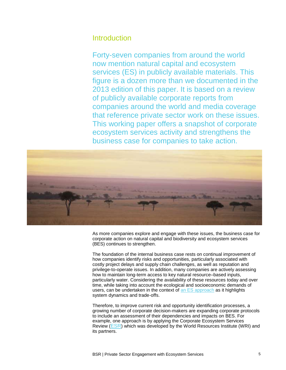# **Introduction**

Forty-seven companies from around the world now mention natural capital and ecosystem services (ES) in publicly available materials. This figure is a dozen more than we documented in the 2013 edition of this paper. It is based on a review of publicly available corporate reports from companies around the world and media coverage that reference private sector work on these issues. This working paper offers a snapshot of corporate ecosystem services activity and strengthens the business case for companies to take action.



As more companies explore and engage with these issues, the business case for corporate action on natural capital and biodiversity and ecosystem services (BES) continues to strengthen.

The foundation of the internal business case rests on continual improvement of how companies identify risks and opportunities, particularly associated with costly project delays and supply chain challenges, as well as reputation and privilege-to-operate issues. In addition, many companies are actively assessing how to maintain long-term access to key natural resource–based inputs, particularly water. Considering the availability of these resources today and over time, while taking into account the ecological and socioeconomic demands of users, can be undertaken in the context of an ES [approach](http://www.greenbiz.com/blog/2013/08/22/ecosystem-services-next-wave) as it highlights system dynamics and trade-offs.

Therefore, to improve current risk and opportunity identification processes, a growing number of corporate decision-makers are expanding corporate protocols to include an assessment of their dependencies and impacts on BES. For example, one approach is by applying the Corporate Ecosystem Services Review ([ESR](http://www.wri.org/publication/corporate-ecosystem-services-review)) which was developed by the World Resources Institute (WRI) and its partners.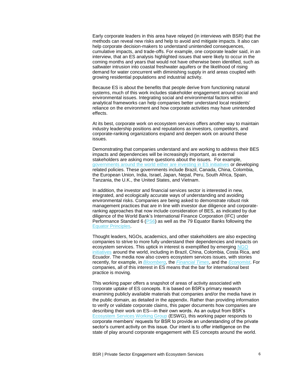Early corporate leaders in this area have relayed (in interviews with BSR) that the methods can reveal new risks and help to avoid and mitigate impacts. It also can help corporate decision-makers to understand unintended consequences, cumulative impacts, and trade-offs. For example, one corporate leader said, in an interview, that an ES analysis highlighted issues that were likely to occur in the coming months and years that would not have otherwise been identified, such as saltwater intrusion into coastal freshwater aquifers or the likelihood of rising demand for water concurrent with diminishing supply in arid areas coupled with growing residential populations and industrial activity.

Because ES is about the benefits that people derive from functioning natural systems, much of this work includes stakeholder engagement around social and environmental issues. Integrating social and environmental factors within analytical frameworks can help companies better understand local residents' reliance on the environment and how corporate activities may have unintended effects.

At its best, corporate work on ecosystem services offers another way to maintain industry leadership positions and reputations as investors, competitors, and corporate-ranking organizations expand and deepen work on around these issues.

Demonstrating that companies understand and are working to address their BES impacts and dependencies will be increasingly important, as external stakeholders are asking more questions about the issues. For example, [governments around the world](http://www.bsr.org/en/our-insights/report-view/global-public-sector-trends-in-ecosystem-services-2009-2013) either are investing in ES initiatives or developing related policies. These governments include Brazil, Canada, China, Colombia, the European Union, India, Israel, Japan, Nepal, Peru, South Africa, Spain, Tanzania, the U.K., the United States, and Vietnam.

In addition, the investor and financial services sector is interested in new, integrated, and ecologically accurate ways of understanding and avoiding environmental risks. Companies are being asked to demonstrate robust risk management practices that are in line with investor due diligence and corporateranking approaches that now include consideration of BES, as indicated by due diligence of the World Bank's International Finance Corporation (IFC) under Performance Standard 6 ( $PS6$ ) as well as the 79 Equator Banks following the [Equator Principles.](http://www.equator-principles.com/)

Thought leaders, NGOs, academics, and other stakeholders are also expecting companies to strive to more fully understand their dependencies and impacts on ecosystem services. This uptick in interest is exemplified by emerging NGO [initiatives](http://www.bsr.org/en/our-insights/report-view/global-public-sector-trends-in-ecosystem-services-2009-2012) around the world, including in Brazil, China, Colombia, Costa Rica, and Ecuador. The media now also covers ecosystem services issues, with stories recently, for example, in **[Bloomberg](http://www.bloomberg.com/news/2013-05-09/resource-strain-pushes-companies-to-put-price-tags-on-nature.html)**, the **[Financial Times](http://www.ft.com/intl/cms/s/0/1c65e578-abdc-11e1-a8a0-00144feabdc0.html)**, and the **[Economist](http://www.economist.com/blogs/babbage/2012/07/ecosystem-services)**. For companies, all of this interest in ES means that the bar for international best practice is moving.

This working paper offers a snapshot of areas of activity associated with corporate uptake of ES concepts. It is based on BSR's primary research examining publicly available materials that companies and/or the media have in the public domain, as detailed in the appendix. Rather than providing information to verify or validate corporate claims, this paper documents how companies are describing their work on ES—in their own words. As an output from BSR's [Ecosystem Services Working Group](https://www.bsr.org/en/our-work/working-groups/ecosystem-services-tools-markets) (ESWG), this working paper responds to corporate members' requests for BSR to provide an understanding of the private sector's current activity on this issue. Our intent is to offer intelligence on the state of play around corporate engagement with ES concepts around the world.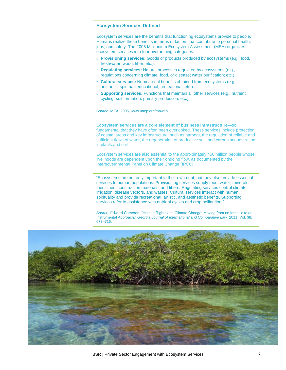#### **Ecosystem Services Defined**

Ecosystem services are the benefits that functioning ecosystems provide to people. Humans realize these benefits in terms of factors that contribute to personal health, jobs, and safety. The 2005 Millennium Ecosystem Assessment (MEA) organizes ecosystem services into four overarching categories:

- » **Provisioning services:** Goods or products produced by ecosystems (e.g., food, freshwater, wood, fiber, etc.).
- » **Regulating services:** Natural processes regulated by ecosystems (e.g., regulations concerning climate, food, or disease; water purification; etc.).
- » **Cultural services:** Nonmaterial benefits obtained from ecosystems (e.g., aesthetic, spiritual, educational, recreational, etc.).
- » **Supporting services:** Functions that maintain all other services (e.g., nutrient cycling, soil formation, primary production, etc.).

Source: MEA, 2005, www.unep.org/maweb.

**Ecosystem services are a core element of business infrastructure**—so fundamental that they have often been overlooked. These services include protection of coastal areas and key infrastructure, such as harbors, the regulation of reliable and sufficient flows of water, the regeneration of productive soil, and carbon sequestration in plants and soil.

Ecosystem services are also essential to the approximately 450 million people whose livelihoods are dependent upon their ongoing flow, as [documented](http://ipcc.ch/publications_and_data/ar4/%20wg2/en/ch5s5-1.html) by the [Intergovernmental Panel on Climate Change](http://ipcc.ch/publications_and_data/ar4/%20wg2/en/ch5s5-1.html) (IPCC).

"Ecosystems are not only important in their own right, but they also provide essential services to human populations. Provisioning services supply food, water, minerals, medicines, construction materials, and fibers. Regulating services control climate, irrigation, disease vectors, and wastes. Cultural services interact with human spirituality and provide recreational, artistic, and aesthetic benefits. Supporting services refer to assistance with nutrient cycles and crop pollination."

Source: Edward Cameron. "Human Rights and Climate Change: Moving from an Intrinsic to an Instrumental Approach." Georgia Journal of International and Comparative Law. 2011, Vol. 38: 673–716.

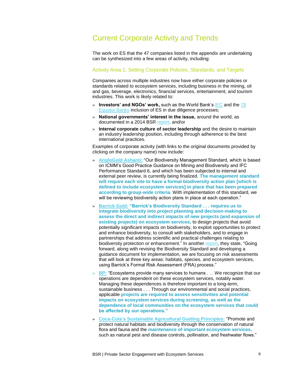# Current Corporate Activity and Trends

The work on ES that the 47 companies listed in the appendix are undertaking can be synthesized into a few areas of activity, including:

#### Activity Area 1: Setting Corporate Policies, Standards, and Targets

Companies across multiple industries now have either corporate policies or standards related to ecosystem services, including business in the mining, oil and gas, beverage, electronics, financial services, entertainment, and tourism industries. This work is likely related to:

- » **Investors' and NGOs' work,** such as the World Bank's [IFC](http://www1.ifc.org/wps/wcm/connect/corp_ext_content/ifc_external_corporate_site/home) and the [79](http://www.equator-principles.com/index.php/members-reporting/members-and-reporting)  [Equator Banks](http://www.equator-principles.com/index.php/members-reporting/members-and-reporting) inclusion of ES in due diligence processes;
- » **National governments' interest in the issue,** around the world, as documented in a 2014 BSR [report,](http://www.bsr.org/en/our-insights/report-view/global-public-sector-trends-in-ecosystem-services-2009-2013) and/or
- » **Internal corporate culture of sector leadership** and the desire to maintain an industry leadership position, including through adherence to the best international practices.

Examples of corporate activity (with links to the original documents provided by clicking on the company name) now include:

- » **[AngloGold Ashanti:](http://www.aga-reports.com/12/os/performance/responsible-custodianship-water-land)** "Our Biodiversity Management Standard, which is based on ICMM's Good Practice Guidance on Mining and Biodiversity and IFC Performance Standard 6, and which has been subjected to internal and external peer review, is currently being finalized. **The management standard will require each site to have a formal biodiversity action plan [which is defined to include ecosystem services] in place that has been prepared according to group-wide criteria.** With implementation of this standard, we will be reviewing biodiversity action plans in place at each operation."
- » **[Barrick Gold:](http://barrickresponsibility.com/2011/environment/biodiversity) "Barrick's Biodiversity Standard . . . requires us to integrate biodiversity into project planning and decision-making to assess the direct and indirect impacts of new projects (and expansion of existing projects) on ecosystem services,** to design projects that avoid potentially significant impacts on biodiversity, to exploit opportunities to protect and enhance biodiversity, to consult with stakeholders, and to engage in partnerships that address scientific and practical challenges relating to biodiversity protection or enhancement." In another [report,](http://barrickresponsibility.com/2012/material-issues/biodiversity-manage) they state, "Going forward, along with revising the Biodiversity Standard and developing a guidance document for implementation, we are focusing on risk assessments that will look at three key areas: habitats, species, and ecosystem services, using Barrick's Formal Risk Assessment (FRA) process."
- » **[BP:](http://www.bp.com/en/global/corporate/sustainability/environment/biodiversity-and-working-in-sensitive-areas/ecosystem-services.html)** "Ecosystems provide many services to humans . . . We recognize that our operations are dependent on these ecosystem services, notably water. Managing these dependences is therefore important to a long-term, sustainable business . . . Through our environmental and social practices, applicable **projects are required to assess sensitivities and potential impacts on ecosystem services during screening, as well as the dependence of local communities on the ecosystem services that could be affected by our operations."**
- » **Coca-Cola's [Sustainable Agricultural Guiding Principles:](http://assets.coca-colacompany.com/bb/28/0d592b834e9d8fd9afcccb1829b6/sustainable-agricultural-guiding-principles.pdf)** "Promote and protect natural habitats and biodiversity through the conservation of natural flora and fauna and the **maintenance of important ecosystem services,** such as natural pest and disease controls, pollination, and freshwater flows."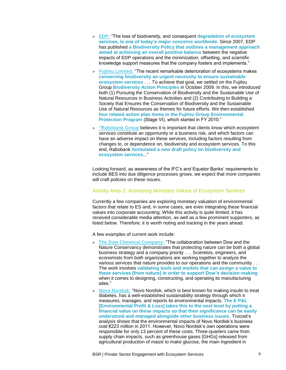- » **[EDP:](http://www.edp.pt/en/sustentabilidade/ambiente/biodiversidade/politicadebiodiversidade/Pages/Biodiversidade.aspx)** "The loss of biodiversity, and consequent **degradation of ecosystem services, is one of today's major concerns worldwide**. Since 2007, EDP has published **a Biodiversity Policy that outlines a management approach aimed at achieving an overall positive balance** between the negative impacts of EDP operations and the minimization, offsetting, and scientific knowledge support measures that the company fosters and implements."
- » **[Fujitsu Limited:](http://www.fujitsu.com/global/about/environment/approach/biodiversity/)** "The recent remarkable deterioration of ecosystems makes **conserving biodiversity an urgent necessity to ensure sustainable ecosystem services** . . . To achieve that goal, we settled on the Fujitsu Group **Biodiversity Action Principles** in October 2009. In this, we introduced both (1) Pursuing the Conservation of Biodiversity and the Sustainable Use of Natural Resources in Business Activities and (2) Contributing to Building a Society that Ensures the Conservation of Biodiversity and the Sustainable Use of Natural Resources as themes for future efforts. We then established **four related action plan items in the Fujitsu Group Environmental Protection Program** (Stage VI), which started in FY 2010."
- » **"R[abobank Group](https://www.rabobank.com/en/images/Corporate_Social_Responsibility_2010_Rabobank_Group_complete.pdf)** believes it is important that clients know which ecosystem services constitute an opportunity or a business risk, and which factors can have an adverse impact on these services, including factors resulting from changes to, or dependence on, biodiversity and ecosystem services. To this end, Rabobank **formulated a new draft policy on biodiversity and ecosystem services**..."

Looking forward, as awareness of the IFC's and Equator Banks' requirements to include BES into due diligence processes grows, we expect that more companies will craft policies on these issues.

### Activity Area 2: Assessing Monetary Values of Ecosystem Services

Currently a few companies are exploring monetary valuation of environmental factors that relate to ES and, in some cases, are even integrating these financial values into corporate accounting. While this activity is quite limited, it has received considerable media attention, as well as a few prominent supporters, as listed below. Therefore, it is worth noting and tracking in the years ahead.

A few examples of current work include:

- » **[The Dow Chemical Company:](http://www.dow.com/sustainability/change/nature_conserv.htm)** "The collaboration between Dow and the Nature Conservancy demonstrates that protecting nature can be both a global business strategy and a company priority . . . Scientists, engineers, and economists from both organizations are working together to analyze the various services that nature provides to our operations and the community . . . The work involves **validating tools and models that can assign a value to these services [from nature] in order to support Dow's decision-making** when it comes to designing, constructing, and operating its manufacturing sites."
- » **[Novo Nordisk:](http://www.trucost.com/news-2014/185/NovoNordiskEP&L)** "Novo Nordisk, which is best known for making insulin to treat diabetes, has a well-established sustainability strategy through which it measures, manages, and reports its environmental impacts. **The E P&L [Environmental Profit & Loss] takes this to the next level by putting a financial value on these impacts so that their significance can be easily understood and managed alongside other business issues**. Trucost's analysis shows that the environmental impacts of Novo Nordisk's business cost €223 million in 2011. However, Novo Nordisk's own operations were responsible for only 13 percent of these costs. Three-quarters came from supply chain impacts, such as greenhouse gases [GHGs] released from agricultural production of maize to make glucose, the main ingredient in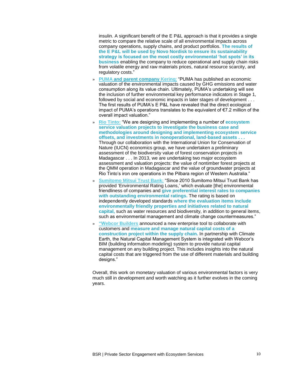insulin. A significant benefit of the E P&L approach is that it provides a single metric to compare the relative scale of all environmental impacts across company operations, supply chains, and product portfolios. **The results of the E P&L will be used by Novo Nordisk to ensure its sustainability strategy is focused on the most costly environmental 'hot spots' in its business** enabling the company to reduce operational and supply chain risks from volatile energy and raw materials prices, natural resource scarcity, and regulatory costs."

- » **[PUMA](http://about.puma.com/puma-completes-first-environmental-profit-and-loss-account-which-values-impacts-at-e-145-million/) and parent company [Kering](http://www.kering.com/en/sustainability/environmental-pl)**: "PUMA has published an economic valuation of the environmental impacts caused by GHG emissions and water consumption along its value chain. Ultimately, PUMA's undertaking will see the inclusion of further environmental key performance indicators in Stage 1, followed by social and economic impacts in later stages of development . . . The first results of PUMA's E P&L have revealed that the direct ecological impact of PUMA's operations translates to the equivalent of €7.2 million of the overall impact valuation."
- » **[Rio Tinto:](http://www.riotinto.com/documents/ReportsPublications/RTBidoversitystrategyfinal.pdf)** "We are designing and implementing a number of **ecosystem service valuation projects to investigate the business case and methodologies around designing and implementing ecosystem service offsets, and investments in nonoperational, land-based assets . . .** Through our collaboration with the International Union for Conservation of Nature (IUCN) economics group, we have undertaken a preliminary assessment of the biodiversity value of forest conservation projects in Madagascar . . . In 2013, we are undertaking two major ecosystem assessment and valuation projects: the value of nontimber forest projects at the QMM operation in Madagascar and the value of groundwater projects at Rio Tinto's iron ore operations in the Pilbara region of Western Australia."
- » **[Sumitomo Mitsui Trust Bank:](http://www.smth.jp/en/csr/report/2012/2012e_09.pdf)** "Since 2010 Sumitomo Mitsui Trust Bank has provided 'Environmental Rating Loans,' which evaluate [the] environmental friendliness of companies and **give preferential interest rates to companies with outstanding environmental ratings.** The rating is based on independently developed standards **where the evaluation items include environmentally friendly properties and initiatives related to natural capital,** such as water resources and biodiversity, in addition to general items, such as environmental management and climate change countermeasures."
- » **"W[ebcor Builders](http://www.constructech.com/news/articles/article.aspx?article_id=9818&SECTION=1)** announced a new enterprise tool to collaborate with customers and **measure and manage natural capital costs of a construction project within the supply chain.** In partnership with Climate Earth, the Natural Capital Management System is integrated with Webcor's BIM (building information modeling) system to provide natural capital management on any building project. This includes insights into the natural capital costs that are triggered from the use of different materials and building designs."

Overall, this work on monetary valuation of various environmental factors is very much still in development and worth watching as it further evolves in the coming years.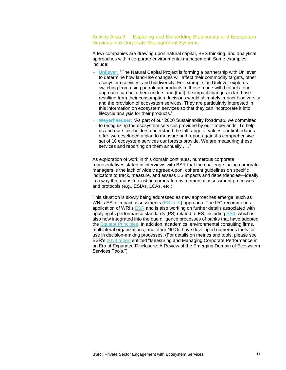### Activity Area 3: Exploring and Embedding Biodiversity and Ecosystem Services into Corporate Management Systems

A few companies are drawing upon natural capital, BES thinking, and analytical approaches within corporate environmental management. Some examples include:

- » **[Unilever:](http://archive.constantcontact.com/fs150/1109486003782/archive/1110369668463.html)** "The Natural Capital Project is forming a partnership with Unilever to determine how land-use changes will affect their commodity targets, other ecosystem services, and biodiversity. For example, as Unilever explores switching from using petroleum products to those made with biofuels, our approach can help them understand [that] the impact changes in land use resulting from their consumption decisions would ultimately impact biodiversity and the provision of ecosystem services. They are particularly interested in this information on ecosystem services so that they can incorporate it into lifecycle analysis for their products."
- » **[Weyerhaeuser:](http://www.weyerhaeuser.com/Sustainability/Planet/SustainableForestManagement/EcosystemServices)** "As part of our 2020 Sustainability Roadmap, we committed to recognizing the ecosystem services provided by our timberlands. To help us and our stakeholders understand the full range of values our timberlands offer, we developed a plan to measure and report against a comprehensive set of 18 ecosystem services our forests provide. We are measuring these services and reporting on them annually . . ."

As exploration of work in this domain continues, numerous corporate representatives stated in interviews with BSR that the challenge facing corporate managers is the lack of widely agreed-upon, coherent guidelines on specific indicators to track, measure, and assess ES impacts and dependencies—ideally in a way that maps to existing corporate environmental assessment processes and protocols (e.g., ESIAs, LCAs, etc.).

This situation is slowly being addressed as new approaches emerge, such as WRI's ES in impact assessments  $(ES \text{ in } IA)$  approach. The IFC recommends application of WRI's [ESR](http://www.wri.org/publication/corporate-ecosystem-services-review) and is also working on further details associated with applying its performance standards (PS) related to ES, including **PS6**, which is also now integrated into the due diligence processes of banks that have adopted the [Equator Principles.](http://www.equator-principles.com/) In addition, academics, environmental consulting firms, multilateral organizations, and other NGOs have developed numerous tools for use in decision-making processes. (For details on metrics and tools, please see BSR's [2013 report](http://www.bsr.org/en/our-insights/report-view/measuring-managing-corporate-performance-in-an-era-of-expanded-disclosure) entitled "Measuring and Managing Corporate Performance in an Era of Expanded Disclosure: A Review of the Emerging Domain of Ecosystem Services Tools.")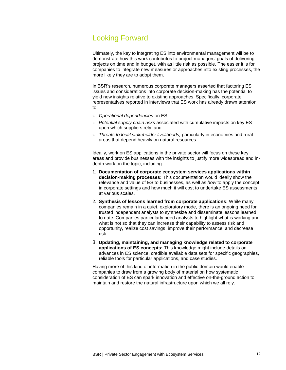# Looking Forward

Ultimately, the key to integrating ES into environmental management will be to demonstrate how this work contributes to project managers' goals of delivering projects on time and in budget, with as little risk as possible. The easier it is for companies to integrate new measures or approaches into existing processes, the more likely they are to adopt them.

In BSR's research, numerous corporate managers asserted that factoring ES issues and considerations into corporate decision-making has the potential to yield new insights relative to existing approaches. Specifically, corporate representatives reported in interviews that ES work has already drawn attention to:

- » Operational dependencies on ES;
- » Potential supply chain risks associated with cumulative impacts on key ES upon which suppliers rely, and
- » Threats to local stakeholder livelihoods, particularly in economies and rural areas that depend heavily on natural resources.

Ideally, work on ES applications in the private sector will focus on these key areas and provide businesses with the insights to justify more widespread and indepth work on the topic, including:

- 1. **Documentation of corporate ecosystem services applications within decision-making processes:** This documentation would ideally show the relevance and value of ES to businesses, as well as how to apply the concept in corporate settings and how much it will cost to undertake ES assessments at various scales.
- 2. **Synthesis of lessons learned from corporate applications:** While many companies remain in a quiet, exploratory mode, there is an ongoing need for trusted independent analysts to synthesize and disseminate lessons learned to date. Companies particularly need analysts to highlight what is working and what is not so that they can increase their capability to assess risk and opportunity, realize cost savings, improve their performance, and decrease risk.
- 3. **Updating, maintaining, and managing knowledge related to corporate applications of ES concepts:** This knowledge might include details on advances in ES science, credible available data sets for specific geographies, reliable tools for particular applications, and case studies.

Having more of this kind of information in the public domain would enable companies to draw from a growing body of material on how systematic consideration of ES can spark innovation and effective on-the-ground action to maintain and restore the natural infrastructure upon which we all rely.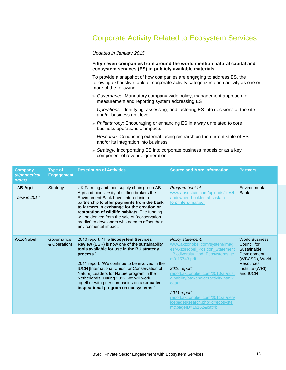# Corporate Activity Related to Ecosystem Services

Updated in January 2015

#### **Fifty-seven companies from around the world mention natural capital and ecosystem services (ES) in publicly available materials.**

To provide a snapshot of how companies are engaging to address ES, the following exhaustive table of corporate activity categorizes each activity as one or more of the following:

- » Governance: Mandatory company-wide policy, management approach, or measurement and reporting system addressing ES
- » Operations: Identifying, assessing, and factoring ES into decisions at the site and/or business unit level
- » Philanthropy: Encouraging or enhancing ES in a way unrelated to core business operations or impacts
- » Research: Conducting external-facing research on the current state of ES and/or its integration into business
- » Strategy: Incorporating ES into corporate business models or as a key component of revenue generation

| Company<br>alphabetical)<br>order) | <b>Type of</b><br><b>Engagement</b> | <b>Description of Activities</b>                                                                                                                                                                                                                                                                                                                                                                                                           | <b>Source and More Information</b>                                                                                                                                                                                                                                                                                                                                 | <b>Partners</b>                                                                                                                          |
|------------------------------------|-------------------------------------|--------------------------------------------------------------------------------------------------------------------------------------------------------------------------------------------------------------------------------------------------------------------------------------------------------------------------------------------------------------------------------------------------------------------------------------------|--------------------------------------------------------------------------------------------------------------------------------------------------------------------------------------------------------------------------------------------------------------------------------------------------------------------------------------------------------------------|------------------------------------------------------------------------------------------------------------------------------------------|
| <b>AB Agri</b><br>new in 2014      | Strategy                            | UK Farming and food supply chain group AB<br>Agri and biodiversity offsetting brokers the<br>Environment Bank have entered into a<br>partnership to offer payments from the bank<br>to farmers in exchange for the creation or<br>restoration of wildlife habitats. The funding<br>will be derived from the sale of "conservation"<br>credits" to developers who need to offset their<br>environmental impact.                             | Program booklet:<br>www.absustain.com/uploads/files/l<br>andowner booklet absustain-<br>forprinters-mar.pdf                                                                                                                                                                                                                                                        | Environmental<br><b>Bank</b>                                                                                                             |
| <b>AkzoNobel</b>                   | Governance<br>& Operations          | 2010 report: "The Ecosystem Services<br>Review (ESR) is now one of the sustainability<br>tools available for use in the BU strategy<br>process."<br>2011 report: "We continue to be involved in the<br><b>IUCN</b> [International Union for Conservation of<br>Nature] Leaders for Nature program in the<br>Netherlands. During 2012, we will work<br>together with peer companies on a so-called<br>inspirational program on ecosystems." | Policy statement:<br>www.akzonobel.com/system/imag<br>es/AkzoNobel Position Statement<br>Biodiversity and Ecosystems to<br>m9-15743.pdf<br>2010 report:<br>report.akzonobel.com/2010/ar/sust<br>ainability/stakeholderactivity.html?<br>$cat = h$<br>2011 report:<br>report.akzonobel.com/2011/ar/serv<br>icepages/search.php?q=ecosyste<br>$m&paaeID=19162&cat=b$ | <b>World Business</b><br>Council for<br>Sustainable<br>Development<br>(WBCSD), World<br><b>Resources</b><br>Institute (WRI).<br>and IUCN |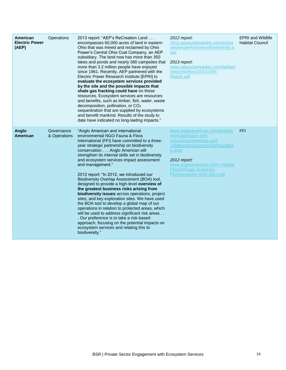| American<br><b>Electric Power</b><br>(AEP) | Operations                 | 2013 report: "AEP's ReCreation Land<br>encompasses 60,000 acres of land in eastern<br>Ohio that was mined and reclaimed by Ohio<br>Power's Central Ohio Coal Company, an AEP<br>subsidiary. The land now has more than 350<br>lakes and ponds and nearly 380 campsites that<br>more than 3.2 million people have enjoyed<br>since 1961. Recently, AEP partnered with the<br>Electric Power Research Institute [EPRI] to<br>evaluate the ecosystem services provided<br>by the site and the possible impacts that<br>shale gas fracking could have on these<br>resources. Ecosystem services are resources<br>and benefits, such as timber, fish, water, waste<br>decomposition, pollination, or CO <sub>2</sub><br>sequestration that are supplied by ecosystems<br>and benefit mankind. Results of the study to<br>date have indicated no long-lasting impacts."                                                                                | 2012 report:<br>2012.aepsustainability.com/ouriss<br>ues/envperformance/biodiversity.a<br><b>Spx</b><br>2013 report:<br>www.aepsustainability.com/fastfact<br>s/reports/docs/2013-GRI-<br>Report.pdf                                           | <b>EPRI</b> and Wildlife<br><b>Habitat Council</b> |
|--------------------------------------------|----------------------------|--------------------------------------------------------------------------------------------------------------------------------------------------------------------------------------------------------------------------------------------------------------------------------------------------------------------------------------------------------------------------------------------------------------------------------------------------------------------------------------------------------------------------------------------------------------------------------------------------------------------------------------------------------------------------------------------------------------------------------------------------------------------------------------------------------------------------------------------------------------------------------------------------------------------------------------------------|------------------------------------------------------------------------------------------------------------------------------------------------------------------------------------------------------------------------------------------------|----------------------------------------------------|
| Anglo<br>American                          | Governance<br>& Operations | "Anglo American and international<br>environmental NGO Fauna & Flora<br>International (FFI) have committed to a three-<br>year strategic partnership on biodiversity<br>conservation Anglo American will<br>strengthen its internal skills set in biodiversity<br>and ecosystem services impact assessment<br>and management."<br>2012 report: "In 2012, we introduced our<br>Biodiversity Overlap Assessment (BOA) tool,<br>designed to provide a high-level overview of<br>the greatest business risks arising from<br><b>biodiversity issues</b> across operations, project<br>sites, and key exploration sites. We have used<br>the BOA tool to develop a global map of our<br>operations in relation to protected areas, which<br>will be used to address significant risk areas<br>. Our preference is to take a risk-based<br>approach, focusing on the potential impacts on<br>ecosystem services and relating this to<br>biodiversity." | www.angloamerican.com/develop<br>ment/approach-and-<br>policies/partnerships-and-<br>collaboration/partnership/faunaflor<br>a.aspx<br>2012 report:<br>www.angloamerican.com/~/media/<br>Files/A/Anglo-American-<br>Plc/reports/AA-SDR-2012.pdf | <b>FFI</b>                                         |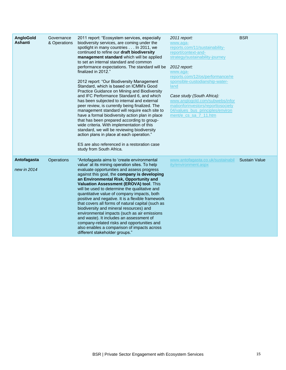| AngloGold<br><b>Ashanti</b> | Governance<br>& Operations | 2011 report: "Ecosystem services, especially<br>biodiversity services, are coming under the<br>spotlight in many countries In 2011, we<br>continued to refine our draft biodiversity<br>management standard which will be applied<br>to set an internal standard and common<br>performance expectations. The standard will be<br>finalized in 2012."<br>2012 report: "Our Biodiversity Management<br>Standard, which is based on ICMM's Good<br>Practice Guidance on Mining and Biodiversity<br>and IFC Performance Standard 6, and which<br>has been subjected to internal and external<br>peer review, is currently being finalized. The<br>management standard will require each site to<br>have a formal biodiversity action plan in place<br>that has been prepared according to group-<br>wide criteria. With implementation of this<br>standard, we will be reviewing biodiversity<br>action plans in place at each operation."<br>ES are also referenced in a restoration case<br>study from South Africa. | 2011 report:<br>www.aqa-<br>reports.com/11/sustainability-<br>report/context-and-<br>strategy/sustainability-journey<br>2012 report:<br>www.aga-<br>reports.com/12/os/performance/re<br>sponsible-custodianship-water-<br>land<br>Case study (South Africa):<br>www.anglogold.com/subwebs/infor<br>mationforinvestors/reporttosociety<br>04/values bus principles/environ<br>ment/e cs sa 7 11.htm | <b>BSR</b>           |
|-----------------------------|----------------------------|--------------------------------------------------------------------------------------------------------------------------------------------------------------------------------------------------------------------------------------------------------------------------------------------------------------------------------------------------------------------------------------------------------------------------------------------------------------------------------------------------------------------------------------------------------------------------------------------------------------------------------------------------------------------------------------------------------------------------------------------------------------------------------------------------------------------------------------------------------------------------------------------------------------------------------------------------------------------------------------------------------------------|----------------------------------------------------------------------------------------------------------------------------------------------------------------------------------------------------------------------------------------------------------------------------------------------------------------------------------------------------------------------------------------------------|----------------------|
| Antofagasta<br>new in 2014  | Operations                 | "Antofagasta aims to 'create environmental<br>value' at its mining operation sites. To help<br>evaluate opportunities and assess progress<br>against this goal, the company is developing<br>an Environmental Risk, Opportunity and<br>Valuation Assessment (EROVA) tool. This<br>will be used to determine the qualitative and<br>quantitative value of company impacts, both<br>positive and negative. It is a flexible framework<br>that covers all forms of natural capital (such as<br>biodiversity and mineral resources) and<br>environmental impacts (such as air emissions<br>and waste). It includes an assessment of<br>company-related risks and opportunities and<br>also enables a comparison of impacts across<br>different stakeholder groups."                                                                                                                                                                                                                                                    | www.antofagasta.co.uk/sustainabil<br>ity/environment.aspx                                                                                                                                                                                                                                                                                                                                          | <b>Sustain Value</b> |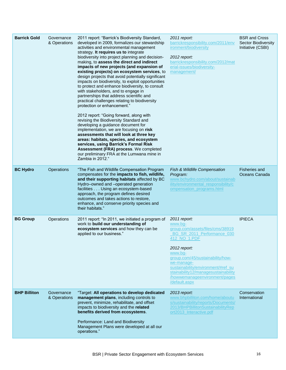| <b>Barrick Gold</b> | Governance<br>& Operations | 2011 report: "Barrick's Biodiversity Standard,<br>developed in 2009, formalizes our stewardship<br>activities and environmental management<br>strategy. It requires us to integrate<br>biodiversity into project planning and decision-<br>making, to assess the direct and indirect<br>impacts of new projects (and expansion of<br>existing projects) on ecosystem services, to<br>design projects that avoid potentially significant<br>impacts on biodiversity, to exploit opportunities<br>to protect and enhance biodiversity, to consult<br>with stakeholders, and to engage in<br>partnerships that address scientific and<br>practical challenges relating to biodiversity<br>protection or enhancement."<br>2012 report: "Going forward, along with<br>revising the Biodiversity Standard and<br>developing a guidance document for<br>implementation, we are focusing on risk<br>assessments that will look at three key<br>areas: habitats, species, and ecosystem<br>services, using Barrick's Formal Risk<br>Assessment (FRA) process. We completed<br>our preliminary FRA at the Lumwana mine in<br>Zambia in 2012." | 2011 report:<br>barrickresponsibility.com/2011/env<br>ironment/biodiversity<br>2012 report:<br>barrickresponsibility.com/2012/mat<br>erial-issues/biodiversity-<br>management/                                                                                                                                        | <b>BSR and Cross</b><br><b>Sector Biodiversity</b><br>Initiative (CSBI) |
|---------------------|----------------------------|-------------------------------------------------------------------------------------------------------------------------------------------------------------------------------------------------------------------------------------------------------------------------------------------------------------------------------------------------------------------------------------------------------------------------------------------------------------------------------------------------------------------------------------------------------------------------------------------------------------------------------------------------------------------------------------------------------------------------------------------------------------------------------------------------------------------------------------------------------------------------------------------------------------------------------------------------------------------------------------------------------------------------------------------------------------------------------------------------------------------------------------|-----------------------------------------------------------------------------------------------------------------------------------------------------------------------------------------------------------------------------------------------------------------------------------------------------------------------|-------------------------------------------------------------------------|
| <b>BC Hydro</b>     | Operations                 | "The Fish and Wildlife Compensation Program<br>compensates for the impacts to fish, wildlife,<br>and their supporting habitats affected by BC<br>Hydro-owned and -operated generation<br>facilities Using an ecosystem-based<br>approach, the program defines desired<br>outcomes and takes actions to restore,<br>enhance, and conserve priority species and<br>their habitats."                                                                                                                                                                                                                                                                                                                                                                                                                                                                                                                                                                                                                                                                                                                                                   | Fish & Wildlife Compensation<br>Program:<br>www.bchydro.com/about/sustainab<br>ility/environmental_responsibility/c<br>ompensation_programs.html                                                                                                                                                                      | <b>Fisheries and</b><br>Oceans Canada                                   |
| <b>BG Group</b>     | Operations                 | 2011 report: "In 2011, we initiated a program of<br>work to build our understanding of<br>ecosystem services and how they can be<br>applied to our business."                                                                                                                                                                                                                                                                                                                                                                                                                                                                                                                                                                                                                                                                                                                                                                                                                                                                                                                                                                       | 2011 report:<br>www.bg-<br>group.com/assets/files/cms/38919<br>BG SR 2011 Performance 030<br>412 NO 1.PDF<br>2012 report:<br>www.bg-<br>group.com/45/sustainability/how-<br>we-manage-<br>sustainability/environment/#ref_su<br>stainability12/managesustainability<br>/howwemanageenvironment/pages<br>/default.aspx | <b>IPIECA</b>                                                           |
| <b>BHP Billiton</b> | Governance<br>& Operations | "Target: All operations to develop dedicated<br>management plans, including controls to<br>prevent, minimize, rehabilitate, and offset<br>impacts to biodiversity and the related<br>benefits derived from ecosystems.<br>Performance: Land and Biodiversity<br>Management Plans were developed at all our<br>operations."                                                                                                                                                                                                                                                                                                                                                                                                                                                                                                                                                                                                                                                                                                                                                                                                          | 2013 report:<br>www.bhpbilliton.com/home/aboutu<br>s/sustainability/reports/Documents/<br>2013/BHPBillitonSustainabilityRep<br>ort2013_Interactive.pdf                                                                                                                                                                | Conservation<br>International                                           |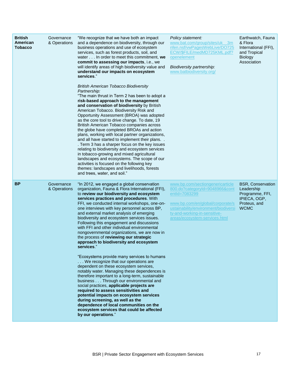| <b>British</b><br>American<br>Tobacco | Governance<br>& Operations | "We recognize that we have both an impact<br>and a dependence on biodiversity, through our<br>business operations and use of ecosystem<br>services, such as forest products, soil, and<br>water In order to meet this commitment, we<br>commit to assessing our impacts, i.e., we<br>will identify areas of high biodiversity value and<br>understand our impacts on ecosystem<br>services."<br><b>British American Tobacco Biodiversity</b><br>Partnership:<br>"The main thrust in Term 2 has been to adopt a<br>risk-based approach to the management<br>and conservation of biodiversity by British<br>American Tobacco. Biodiversity Risk and<br>Opportunity Assessment (BROA) was adopted<br>as the core tool to drive change. To date, 19<br>British American Tobacco companies across<br>the globe have completed BROAs and action<br>plans, working with local partner organizations,<br>and all have started to implement their plans<br>. Term 3 has a sharper focus on the key issues<br>relating to biodiversity and ecosystem services<br>in tobacco-growing and mixed agricultural<br>landscapes and ecosystems. The scope of our<br>activities is focused on the following key<br>themes: landscapes and livelihoods, forests<br>and trees, water, and soil." | Policy statement:<br>www.bat.com/group/sites/uk 3m<br>nfen.nsf/vwPagesWebLive/DO725<br>ECW/\$FILE/medMD725KML.pdf?<br>openelement<br>Biodiversity partnership:<br>www.batbiodiversity.org/                                       | Earthwatch, Fauna<br>& Flora<br>International (FFI),<br>and Tropical<br><b>Biology</b><br>Association    |
|---------------------------------------|----------------------------|------------------------------------------------------------------------------------------------------------------------------------------------------------------------------------------------------------------------------------------------------------------------------------------------------------------------------------------------------------------------------------------------------------------------------------------------------------------------------------------------------------------------------------------------------------------------------------------------------------------------------------------------------------------------------------------------------------------------------------------------------------------------------------------------------------------------------------------------------------------------------------------------------------------------------------------------------------------------------------------------------------------------------------------------------------------------------------------------------------------------------------------------------------------------------------------------------------------------------------------------------------------------------|----------------------------------------------------------------------------------------------------------------------------------------------------------------------------------------------------------------------------------|----------------------------------------------------------------------------------------------------------|
| <b>BP</b>                             | Governance<br>& Operations | "In 2012, we engaged a global conservation<br>organization, Fauna & Flora International (FFI),<br>to review our biodiversity and ecosystem<br>services practices and procedures. With<br>FFI, we conducted internal workshops, one-on-<br>one interviews with key personnel across BP,<br>and external market analysis of emerging<br>biodiversity and ecosystem services issues.<br>Following this engagement and discussions<br>with FFI and other individual environmental<br>nongovernmental organizations, we are now in<br>the process of reviewing our strategic<br>approach to biodiversity and ecosystem<br>services."<br>"Ecosystems provide many services to humans<br>We recognize that our operations are<br>dependent on these ecosystem services,<br>notably water. Managing these dependences is<br>therefore important to a long-term, sustainable<br>business Through our environmental and<br>social practices, applicable projects are<br>required to assess sensitivities and<br>potential impacts on ecosystem services<br>during screening, as well as the<br>dependence of local communities on the<br>ecosystem services that could be affected<br>by our operations."                                                                              | www.bp.com/sectiongenericarticle<br>800.do?categoryId=9048966&cont<br>entId=7083299<br>www.bp.com/en/global/corporate/s<br>ustainability/environment/biodiversi<br>ty-and-working-in-sensitive-<br>areas/ecosystem-services.html | <b>BSR, Conservation</b><br>Leadership<br>Programme, FFI,<br>IPIECA, OGP,<br>Proteus, and<br><b>WCMC</b> |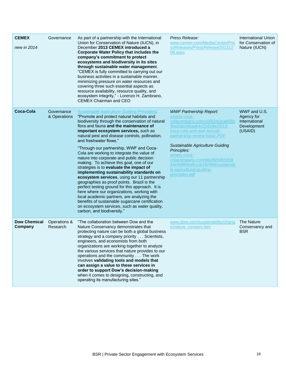| <b>CEMEX</b><br>new in 2014    | Governance                 | As part of a partnership with the International<br>Union for Conservation of Nature (IUCN), in<br>December 2013 CEMEX introduced a<br><b>Corporate Water Policy that includes the</b><br>company's commitment to protect<br>ecosystems and biodiversity in its sites<br>through sustainable water management.<br>"CEMEX is fully committed to carrying out our<br>business activities in a sustainable manner,<br>minimizing pressure on water resources and<br>covering three such essential aspects as<br>resource availability, resource quality, and<br>ecosystem integrity," - Lorenzo H. Zambrano,<br>CEMEX Chairman and CEO                                                                                                                                                                                                                                                                                                                                          | Press Release:<br>www.cemex.com/MediaCenter/Pre<br>ssReleases/PressRelease201312<br>09.aspx                                                                                                                                                                                                                                                                            | <b>International Union</b><br>for Conservation of<br>Nature (IUCN)    |
|--------------------------------|----------------------------|-----------------------------------------------------------------------------------------------------------------------------------------------------------------------------------------------------------------------------------------------------------------------------------------------------------------------------------------------------------------------------------------------------------------------------------------------------------------------------------------------------------------------------------------------------------------------------------------------------------------------------------------------------------------------------------------------------------------------------------------------------------------------------------------------------------------------------------------------------------------------------------------------------------------------------------------------------------------------------|------------------------------------------------------------------------------------------------------------------------------------------------------------------------------------------------------------------------------------------------------------------------------------------------------------------------------------------------------------------------|-----------------------------------------------------------------------|
| Coca-Cola                      | Governance<br>& Operations | <b>Sustainable Agriculture Guiding Principles:</b><br>"Promote and protect natural habitats and<br>biodiversity through the conservation of natural<br>flora and fauna and the maintenance of<br>important ecosystem services, such as<br>natural pest and disease controls, pollination,<br>and freshwater flows."<br>"Through our partnership, WWF and Coca-<br>Cola are working to integrate the value of<br>nature into corporate and public decision<br>making. To achieve this goal, one of our<br>strategies is to evaluate the impact of<br>implementing sustainability standards on<br>ecosystem services, using our 11 partnership<br>geographies as proof points. Brazil is the<br>perfect testing ground for this approach. It is<br>here where our organizations, working with<br>local academic partners, are analyzing the<br>benefits of sustainable sugarcane certification<br>on ecosystem services, such as water quality,<br>carbon, and biodiversity." | <b>WWF Partnership Report:</b><br>assets.coca-<br>colacompany.com/c0/92/e2ca905b<br>4ba3ab2d5aab4c22d19e/2013-<br>coca-cola-and-wwf-annual-<br>partnership-review-basic.PDF<br><b>Sustainable Agriculture Guiding</b><br>Principles:<br>assets.coca-<br>colacompany.com/bb/28/0d592b8<br>34e9d8fd9afcccb1829b6/sustainab<br>le-agricultural-guiding-<br>principles.pdf | WWF and U.S.<br>Agency for<br>International<br>Development<br>(USAID) |
| <b>Dow Chemical</b><br>Company | Operations &<br>Research   | "The collaboration between Dow and the<br>Nature Conservancy demonstrates that<br>protecting nature can be both a global business<br>strategy and a company priority Scientists,<br>engineers, and economists from both<br>organizations are working together to analyze<br>the various services that nature provides to our<br>operations and the community The work<br>involves validating tools and models that<br>can assign a value to these services in<br>order to support Dow's decision-making<br>when it comes to designing, constructing, and<br>operating its manufacturing sites."                                                                                                                                                                                                                                                                                                                                                                             | www.dow.com/sustainability/chang<br>e/nature_conserv.htm                                                                                                                                                                                                                                                                                                               | The Nature<br>Conservancy and<br><b>BSR</b>                           |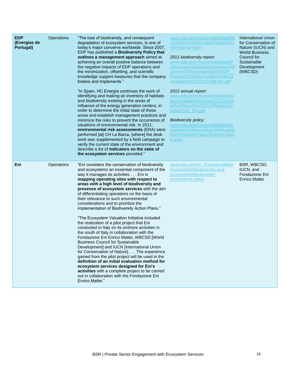| <b>EDP</b><br>(Energias de<br>Portugal) | Operations | "The loss of biodiversity, and consequent<br>degradation of ecosystem services, is one of<br>today's major concerns worldwide. Since 2007,<br>EDP has published a Biodiversity Policy that<br>outlines a management approach aimed at<br>achieving an overall positive balance between<br>the negative impacts of EDP operations and<br>the minimization, offsetting, and scientific<br>knowledge support measures that the company<br>fosters and implements."<br>"In Spain, HC Energía continues the work of<br>identifying and making an inventory of habitats<br>and biodiversity existing in the areas of<br>influence of the energy generation centers, in<br>order to determine the initial state of these<br>areas and establish management practices and<br>minimize the risks to prevent the occurrence of<br>situations of environmental risk. In 2011,<br>environmental risk assessments (ERA) were<br>performed [at] CH La Barca, [where] the desk<br>work was supplemented by a field campaign to<br>verify the current state of the environment and<br>describe a list of indicators on the state of<br>the ecosystem services provided." | www.edp.pt/en/sustentabilidade/Ri<br>sco/RiscosAmbientais/Pages/Risc<br>oAmbiental.aspx<br>2011 biodiversity report:<br>www.edp.pt/en/sustentabilidade/P<br>ublicacoesRelatorios/relatorios/Rel<br>atrios%20Sustentabilidade/EDP<br>Relat%C3%B3rio%20de%20Biodi<br>versidade%202011%20ENG.pdf<br>2012 annual report:<br>www.edp.pt/en/Investidores/public<br>acoes/relatorioecontas/2012/Annu<br>al%20Report%202012/RelatorioC<br>ontas2012 EN.pdf<br><b>Biodiversity policy:</b><br>www.edp.pt/en/sustentabilidade/a<br>mbiente/biodiversidade/politicadeb<br>iodiversidade/Pages/Biodiversidad<br>e.aspx | <b>International Union</b><br>for Conservation of<br>Nature (IUCN) and<br><b>World Business</b><br>Council for<br>Sustainable<br>Development<br>(WBCSD) |
|-----------------------------------------|------------|----------------------------------------------------------------------------------------------------------------------------------------------------------------------------------------------------------------------------------------------------------------------------------------------------------------------------------------------------------------------------------------------------------------------------------------------------------------------------------------------------------------------------------------------------------------------------------------------------------------------------------------------------------------------------------------------------------------------------------------------------------------------------------------------------------------------------------------------------------------------------------------------------------------------------------------------------------------------------------------------------------------------------------------------------------------------------------------------------------------------------------------------------------|------------------------------------------------------------------------------------------------------------------------------------------------------------------------------------------------------------------------------------------------------------------------------------------------------------------------------------------------------------------------------------------------------------------------------------------------------------------------------------------------------------------------------------------------------------------------------------------------------------|---------------------------------------------------------------------------------------------------------------------------------------------------------|
| Eni                                     | Operations | "Eni considers the conservation of biodiversity<br>and ecosystems an essential component of the<br>way it manages its activities Eni is<br>mapping operating sites with respect to<br>areas with a high level of biodiversity and<br>presence of ecosystem services with the aim<br>of differentiating operations on the basis of<br>their relevance to such environmental<br>considerations and to prioritize the<br>implementation of Biodiversity Action Plans."<br>"The Ecosystem Valuation Initiative included<br>the realization of a pilot project that Eni<br>conducted in Italy on its onshore activities in<br>the south of Italy in collaboration with the<br>Fondazione Eni Enrico Mattei, WBCSD [World<br><b>Business Council for Sustainable</b><br>Development] and IUCN [International Union<br>for Conservation of Nature] The experience<br>gained from the pilot project will be used in the<br>definition of an initial evaluation method for<br>ecosystem services designed for Eni's<br>activities with a complete project to be carried<br>out in collaboration with the Fondazione Eni<br>Enrico Mattei."                        | www.eni.com/en_IT/sustainability/<br>environment/biodiversity-and-<br>ecosystems/biodiversity-<br>ecosystems.shtml                                                                                                                                                                                                                                                                                                                                                                                                                                                                                         | BSR, WBCSD,<br>IUCN, and<br>Fondazione Eni<br><b>Enrico Mattei</b>                                                                                      |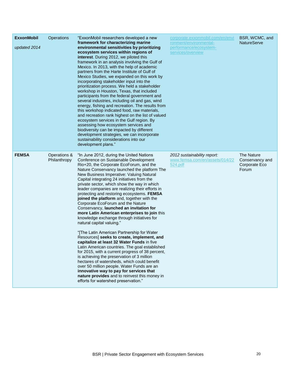| <b>ExxonMobil</b><br>updated 2014 | Operations                   | "ExxonMobil researchers developed a new<br>framework for characterizing marine<br>environmental sensitivities by prioritizing<br>ecosystem services within regions of<br>interest. During 2012, we piloted this<br>framework in an analysis involving the Gulf of<br>Mexico. In 2013, with the help of academic<br>partners from the Harte Institute of Gulf of<br>Mexico Studies, we expanded on this work by<br>incorporating stakeholder input into the<br>prioritization process. We held a stakeholder<br>workshop in Houston, Texas, that included<br>participants from the federal government and<br>several industries, including oil and gas, wind<br>energy, fishing and recreation. The results from<br>this workshop indicated food, raw materials,<br>and recreation rank highest on the list of valued<br>ecosystem services in the Gulf region. By<br>assessing how ecosystem services and<br>biodiversity can be impacted by different<br>development strategies, we can incorporate<br>sustainability considerations into our<br>development plans."                                                                                                                                           | corporate.exxonmobil.com/en/envi<br>ronment/environmental-<br>performance/ecosystem-<br>services/overview | BSR, WCMC, and<br><b>NatureServe</b>                    |
|-----------------------------------|------------------------------|-----------------------------------------------------------------------------------------------------------------------------------------------------------------------------------------------------------------------------------------------------------------------------------------------------------------------------------------------------------------------------------------------------------------------------------------------------------------------------------------------------------------------------------------------------------------------------------------------------------------------------------------------------------------------------------------------------------------------------------------------------------------------------------------------------------------------------------------------------------------------------------------------------------------------------------------------------------------------------------------------------------------------------------------------------------------------------------------------------------------------------------------------------------------------------------------------------------------|-----------------------------------------------------------------------------------------------------------|---------------------------------------------------------|
| <b>FEMSA</b>                      | Operations &<br>Philanthropy | "In June 2012, during the United Nations<br>Conference on Sustainable Development<br>Rio+20, the Corporate EcoForum, and the<br>Nature Conservancy launched the platform The<br>New Business Imperative: Valuing Natural<br>Capital integrating 24 initiatives from the<br>private sector, which show the way in which<br>leader companies are realizing their efforts in<br>protecting and restoring ecosystems. FEMSA<br>joined the platform and, together with the<br>Corporate EcoForum and the Nature<br>Conservancy, launched an invitation for<br>more Latin American enterprises to join this<br>knowledge exchange through initiatives for<br>natural capital valuing."<br>"[The Latin American Partnership for Water<br>Resources] seeks to create, implement, and<br>capitalize at least 32 Water Funds in five<br>Latin American countries. The goal established<br>for 2015, with a current progress of 38 percent,<br>is achieving the preservation of 3 million<br>hectares of watersheds, which could benefit<br>over 50 million people. Water Funds are an<br>innovative way to pay for services that<br>nature provides and to reinvest this money in<br>efforts for watershed preservation." | 2012 sustainability report:<br>www.femsa.com/en/assets/014/22<br>524.pdf                                  | The Nature<br>Conservancy and<br>Corporate Eco<br>Forum |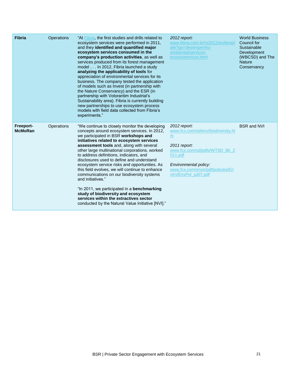| Fibria                      | Operations | "At <b>Fibria</b> , the first studies and drills related to<br>ecosystem services were performed in 2011,<br>and they identified and quantified major<br>ecosystem services consumed in the<br>company's production activities, as well as<br>services produced from its forest management<br>model In 2012, Fibria launched a study<br>analyzing the applicability of tools for<br>appreciation of environmental services for its<br>business. The company tested the application<br>of models such as Invest (in partnership with<br>the Nature Conservancy) and the ESR (in<br>partnership with Votorantim Industrial's<br>Sustainability area). Fibria is currently building<br>new partnerships to use ecosystem process<br>models with field data collected from Fibria's<br>experiments." | 2012 report:<br>www.fibria.com.br/rs2012/en/templ<br>ate?go=desempenho-<br>ambiental/servicos-<br>ecossistemicos.html                                                                                       | <b>World Business</b><br>Council for<br>Sustainable<br>Development<br>(WBCSD) and The<br><b>Nature</b><br>Conservancy |
|-----------------------------|------------|--------------------------------------------------------------------------------------------------------------------------------------------------------------------------------------------------------------------------------------------------------------------------------------------------------------------------------------------------------------------------------------------------------------------------------------------------------------------------------------------------------------------------------------------------------------------------------------------------------------------------------------------------------------------------------------------------------------------------------------------------------------------------------------------------|-------------------------------------------------------------------------------------------------------------------------------------------------------------------------------------------------------------|-----------------------------------------------------------------------------------------------------------------------|
| Freeport-<br><b>McMoRan</b> | Operations | "We continue to closely monitor the developing<br>concepts around ecosystem services. In 2012,<br>we participated in BSR workshops and<br>initiatives related to ecosystem services<br>assessment tools and, along with several<br>other large multinational corporations, worked<br>to address definitions, indicators, and<br>disclosures used to define and understand<br>ecosystem service risks and opportunities. As<br>this field evolves, we will continue to enhance<br>communications on our biodiversity systems<br>and initiatives."<br>"In 2011, we participated in a <b>benchmarking</b><br>study of biodiversity and ecosystem<br>services within the extractives sector<br>conducted by the Natural Value Initiative [NVI]."                                                     | 2012 report:<br>www.fcx.com/sd/env/biodiversity.ht<br>m.<br>2011 report:<br>www.fcx.com/sd/pdfs/WTSD Bk 2<br>011.pdf<br>Environmental policy:<br>www.fcx.com/envir/pdf/policies/En<br>virn/EnvPol jul07.pdf | <b>BSR and NVI</b>                                                                                                    |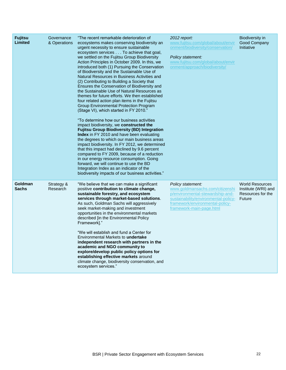| <b>Fujitsu</b><br><b>Limited</b> | Governance<br>& Operations | "The recent remarkable deterioration of<br>ecosystems makes conserving biodiversity an<br>urgent necessity to ensure sustainable<br>ecosystem services To achieve that goal,<br>we settled on the Fujitsu Group Biodiversity<br>Action Principles in October 2009. In this, we<br>introduced both (1) Pursuing the Conservation<br>of Biodiversity and the Sustainable Use of<br>Natural Resources in Business Activities and<br>(2) Contributing to Building a Society that<br>Ensures the Conservation of Biodiversity and<br>the Sustainable Use of Natural Resources as<br>themes for future efforts. We then established<br>four related action plan items in the Fujitsu<br>Group Environmental Protection Program<br>(Stage VI), which started in FY 2010."<br>"To determine how our business activities<br>impact biodiversity, we constructed the<br><b>Fujitsu Group Biodiversity (BD) Integration</b><br><b>Index</b> in FY 2010 and have been evaluating<br>the degrees to which our main business areas<br>impact biodiversity. In FY 2012, we determined<br>that this impact had declined by 9.6 percent<br>compared to FY 2009, because of a reduction<br>in our energy resource consumption. Going<br>forward, we will continue to use the BD<br>Integration Index as an indicator of the<br>biodiversity impacts of our business activities." | 2012 report:<br>www.fujitsu.com/global/about/envir<br>onment/biodiversity/conservation/<br>Policy statement:<br>www.fujitsu.com/global/about/envir<br>onment/approach/biodiversity/             | Biodiversity in<br>Good Company<br>Initiative                                |
|----------------------------------|----------------------------|----------------------------------------------------------------------------------------------------------------------------------------------------------------------------------------------------------------------------------------------------------------------------------------------------------------------------------------------------------------------------------------------------------------------------------------------------------------------------------------------------------------------------------------------------------------------------------------------------------------------------------------------------------------------------------------------------------------------------------------------------------------------------------------------------------------------------------------------------------------------------------------------------------------------------------------------------------------------------------------------------------------------------------------------------------------------------------------------------------------------------------------------------------------------------------------------------------------------------------------------------------------------------------------------------------------------------------------------------------------|-------------------------------------------------------------------------------------------------------------------------------------------------------------------------------------------------|------------------------------------------------------------------------------|
| Goldman<br><b>Sachs</b>          | Strategy &<br>Research     | "We believe that we can make a significant<br>positive contribution to climate change,<br>sustainable forestry, and ecosystem<br>services through market-based solutions.<br>As such, Goldman Sachs will aggressively<br>seek market-making and investment<br>opportunities in the environmental markets<br>described [in the Environmental Policy<br>Framework]."<br>"We will establish and fund a Center for<br>Environmental Markets to <b>undertake</b><br>independent research with partners in the<br>academic and NGO community to<br>explore/develop public policy options for<br>establishing effective markets around<br>climate change, biodiversity conservation, and<br>ecosystem services."                                                                                                                                                                                                                                                                                                                                                                                                                                                                                                                                                                                                                                                      | Policy statement:<br>www.goldmansachs.com/citizenshi<br>p/environmental-stewardship-and-<br>sustainability/environmental-policy-<br>framework/environmental-policy-<br>framework-main-page.html | <b>World Resources</b><br>Institute (WRI) and<br>Resources for the<br>Future |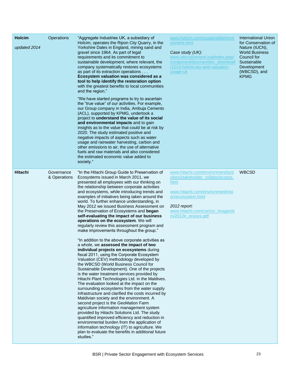| <b>Holcim</b><br>updated 2014 | <b>Operations</b>          | "Aggregate Industries UK, a subsidiary of<br>Holcim, operates the Ripon City Quarry, in the<br>Yorkshire Dales in England, mining sand and<br>gravel since 1964. As part of legal<br>requirements and its commitment to<br>sustainable development, where relevant, the<br>company systematically restores ecosystems<br>as part of its extraction operations<br>Ecosystem valuation was considered as a<br>tool to help identify the restoration option<br>with the greatest benefits to local communities<br>and the region."<br>"We have started programs to try to ascertain<br>the "true value" of our activities. For example,<br>our Group company in India, Ambuja Cements<br>(ACL), supported by KPMG, undertook a<br>project to understand the value of its social<br>and environmental impacts and to gain<br>insights as to the value that could be at risk by<br>2020. The study estimated positive and<br>negative impacts of aspects such as water<br>usage and rainwater harvesting, carbon and<br>other emissions to air, the use of alternative<br>fuels and raw materials and also considered<br>the estimated economic value added to<br>society."                                                                                                                                                                                                                                                                                                                                                                                                                                            | www.holcim.com/sustainable/envir<br>onment.html<br>Case study (UK):<br>www.wbcsdcement.org/index.php/<br>component/docman/doc_download<br>/1214-holcim-esr-and-valuation-<br>usage-uk                             | <b>International Union</b><br>for Conservation of<br>Nature (IUCN),<br><b>World Business</b><br>Council for<br>Sustainable<br>Development<br>(WBCSD), and<br><b>KPMG</b> |
|-------------------------------|----------------------------|-------------------------------------------------------------------------------------------------------------------------------------------------------------------------------------------------------------------------------------------------------------------------------------------------------------------------------------------------------------------------------------------------------------------------------------------------------------------------------------------------------------------------------------------------------------------------------------------------------------------------------------------------------------------------------------------------------------------------------------------------------------------------------------------------------------------------------------------------------------------------------------------------------------------------------------------------------------------------------------------------------------------------------------------------------------------------------------------------------------------------------------------------------------------------------------------------------------------------------------------------------------------------------------------------------------------------------------------------------------------------------------------------------------------------------------------------------------------------------------------------------------------------------------------------------------------------------------------------------------------|-------------------------------------------------------------------------------------------------------------------------------------------------------------------------------------------------------------------|--------------------------------------------------------------------------------------------------------------------------------------------------------------------------|
| <b>Hitachi</b>                | Governance<br>& Operations | "In the Hitachi Group Guide to Preservation of<br>Ecosystems issued in March 2011, we<br>presented all employees with our thinking on<br>the relationship between corporate activities<br>and ecosystems, while introducing trends and<br>examples of initiatives being taken around the<br>world. To further enhance understanding, in<br>May 2012 we issued Business Assessment on<br>the Preservation of Ecosystems and began<br>self-evaluating the impact of our business<br>operations on the ecosystem. We will<br>regularly review this assessment program and<br>make improvements throughout the group."<br>"In addition to the above corporate activities as<br>a whole, we assessed the impact of two<br>individual projects on ecosystems during<br>fiscal 2011, using the Corporate Ecosystem<br>Valuation (CEV) methodology developed by<br>the WBCSD (World Business Council for<br>Sustainable Development). One of the projects<br>is the water treatment services provided by<br>Hitachi Plant Technologies Ltd. in the Maldives.<br>The evaluation looked at the impact on the<br>surrounding ecosystems from the water supply<br>infrastructure and clarified the costs incurred by<br>Maldivian society and the environment. A<br>second project is the GeoMation Farm<br>agriculture information management system<br>provided by Hitachi Solutions Ltd. The study<br>quantified improved efficiency and reduction in<br>environmental burden from the application of<br>information technology (IT) to agriculture. We<br>plan to evaluate the benefits in additional future<br>studies." | www.hitachi.com/environment/acti<br>vities/stakeholder_collabo/ecosys.<br>html<br>www.hitachi.com/environment/visi<br>on/ecosystem.html<br>2012 report:<br>www.hitachi.com/csr/csr_images/e<br>nv2012e_ecosys.pdf | <b>WBCSD</b>                                                                                                                                                             |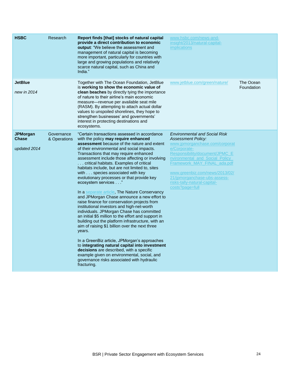| <b>HSBC</b>                                     | Research                   | Report finds [that] stocks of natural capital<br>provide a direct contribution to economic<br><b>output:</b> "We believe the assessment and<br>management of natural capital is becoming<br>more important, particularly for countries with<br>large and growing populations and relatively<br>scarce natural capital, such as China and<br>India."                                                                                                                                                                                                                                                                                                                                                                                                                                                                                                                                                                                                                                                                                                                                                                                                                       | www.hsbc.com/news-and-<br>insight/2013/natural-capital-<br><i>implications</i>                                                                                                                                                                                                                                                              |                         |
|-------------------------------------------------|----------------------------|---------------------------------------------------------------------------------------------------------------------------------------------------------------------------------------------------------------------------------------------------------------------------------------------------------------------------------------------------------------------------------------------------------------------------------------------------------------------------------------------------------------------------------------------------------------------------------------------------------------------------------------------------------------------------------------------------------------------------------------------------------------------------------------------------------------------------------------------------------------------------------------------------------------------------------------------------------------------------------------------------------------------------------------------------------------------------------------------------------------------------------------------------------------------------|---------------------------------------------------------------------------------------------------------------------------------------------------------------------------------------------------------------------------------------------------------------------------------------------------------------------------------------------|-------------------------|
| <b>JetBlue</b><br>new in 2014                   |                            | Together with The Ocean Foundation, JetBlue<br>is working to show the economic value of<br><b>clean beaches</b> by directly tying the importance<br>of nature to their airline's main economic<br>measure—revenue per available seat mile<br>(RASM). By attempting to attach actual dollar<br>values to unspoiled shorelines, they hope to<br>strengthen businesses' and governments'<br>interest in protecting destinations and<br>ecosystems.                                                                                                                                                                                                                                                                                                                                                                                                                                                                                                                                                                                                                                                                                                                           | www.jetblue.com/green/nature/                                                                                                                                                                                                                                                                                                               | The Ocean<br>Foundation |
| <b>JPMorgan</b><br><b>Chase</b><br>updated 2014 | Governance<br>& Operations | "Certain transactions assessed in accordance<br>with the policy may require enhanced<br><b>assessment</b> because of the nature and extent<br>of their environmental and social impacts.<br>Transactions that may require enhanced<br>assessment include those affecting or involving<br>critical habitats. Examples of critical<br>habitats include, but are not limited to, sites<br>with species associated with key<br>evolutionary processes or that provide key<br>ecosystem services"<br>In a separate article, The Nature Conservancy<br>and JPMorgan Chase announce a new effort to<br>raise finance for conservation projects from<br>institutional investors and high-net-worth<br>individuals. JPMorgan Chase has committed<br>an initial \$5 million to the effort and support in<br>building out the platform infrastructure, with an<br>aim of raising \$1 billion over the next three<br>years.<br>In a GreenBiz article, JPMorgan's approaches<br>to integrating natural capital into investment<br>decisions are described, with a specific<br>example given on environmental, social, and<br>governance risks associated with hydraulic<br>fracturing. | <b>Environmental and Social Risk</b><br><b>Assessment Policy:</b><br>www.jpmorganchase.com/corporat<br>e/Corporate-<br>Responsibility/document/JPMC_E<br>nvironmental and Social Policy<br>Framework MAY FINAL ada.pdf<br>www.greenbiz.com/news/2013/02/<br>21/jpmorganchase-ubs-assess-<br>risks-tally-natural-capital-<br>costs?page=full |                         |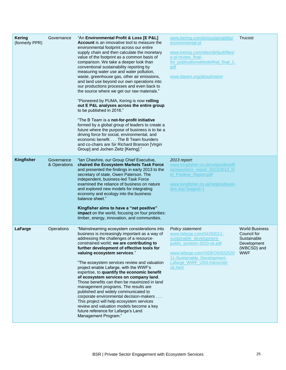| <b>Kering</b><br>(formerly PPR) | Governance                 | "An Environmental Profit & Loss [E P&L]<br><b>Account</b> is an innovative tool to measure the<br>environmental footprint across our entire<br>supply chain and then calculate the monetary<br>value of the footprint as a common basis of<br>comparison. We take a deeper look than<br>conventional sustainability reporting by<br>measuring water use and water pollution,<br>waste, greenhouse gas, other air emissions,<br>and land use beyond our own operations into<br>our productions processes and even back to<br>the source where we get our raw materials."<br>"Pioneered by PUMA, Kering is now rolling<br>out E P&L analyses across the entire group<br>to be published in 2016."<br>"The B Team is a not-for-profit initiative<br>formed by a global group of leaders to create a<br>future where the purpose of business is to be a<br>driving force for social, environmental, and<br>economic benefit The B Team founders<br>and co-chairs are Sir Richard Branson [Virgin<br>Group] and Jochen Zeitz [Kering]." | www.kering.com/en/sustainability/<br>environmental-pl<br>www.kering.com/sites/default/files/<br>e-pl-review final-<br>for publicationwebsitefinal final 1.<br>pdf<br>www.bteam.org/about/vision                     | Trucost                                                                                         |
|---------------------------------|----------------------------|------------------------------------------------------------------------------------------------------------------------------------------------------------------------------------------------------------------------------------------------------------------------------------------------------------------------------------------------------------------------------------------------------------------------------------------------------------------------------------------------------------------------------------------------------------------------------------------------------------------------------------------------------------------------------------------------------------------------------------------------------------------------------------------------------------------------------------------------------------------------------------------------------------------------------------------------------------------------------------------------------------------------------------|---------------------------------------------------------------------------------------------------------------------------------------------------------------------------------------------------------------------|-------------------------------------------------------------------------------------------------|
| <b>Kingfisher</b>               | Governance<br>& Operations | "Ian Cheshire, our Group Chief Executive,<br>chaired the Ecosystem Markets Task Force<br>and presented the findings in early 2013 to the<br>secretary of state, Owen Paterson. The<br>independent, business-led Task Force<br>examined the reliance of business on nature<br>and explored new models for integrating<br>economy and ecology into the business<br>balance sheet."<br>Kingfisher aims to have a "net positive"<br>impact on the world, focusing on four priorities:<br>timber, energy, innovation, and communities.                                                                                                                                                                                                                                                                                                                                                                                                                                                                                                  | 2013 report:<br>www.kingfisher.co.uk/netpositive/fil<br>es/reports/cr_report_2013/2013_N<br>et_Positive_Report.pdf<br>www.kingfisher.co.uk/netpositive/in<br>dex.asp?pageid=1                                       |                                                                                                 |
| LaFarge                         | Operations                 | "Mainstreaming ecosystem considerations into<br>business is increasingly important as a way of<br>addressing the challenges of a resource-<br>constrained world; we are contributing to<br>further development of effective tools for<br>valuing ecosystem services."<br>"The ecosystem services review and valuation<br>project enable Lafarge, with the WWF's<br>expertise, to quantify the economic benefit<br>of ecosystem services on company land.<br>Those benefits can then be maximized in land<br>management programs. The results are<br>published and widely communicated to<br>corporate environmental decision-makers<br>This project will help ecosystem services<br>review and valuation models become a key<br>future reference for Lafarge's Land<br>Management Program."                                                                                                                                                                                                                                        | Policy statement:<br>www.lafarge.com/04292011-<br>sustainable_development-<br>public_position-2010-uk.pdf<br>www.lafarge.com/VIDEOS/022520<br>11-Sustainable_Development-<br>Lafarge WWF USA-transcript-<br>uk.html | <b>World Business</b><br>Council for<br>Sustainable<br>Development<br>(WBCSD) and<br><b>WWF</b> |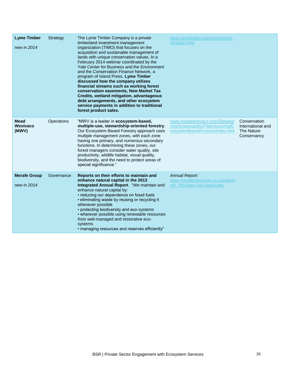| <b>Lyme Timber</b><br>new in 2014  | Strategy   | The Lyme Timber Company is a private<br>timberland investment management<br>organization (TIMO) that focuses on the<br>acquisition and sustainable management of<br>lands with unique conservation values. In a<br>February 2014 webinar coordinated by the<br>Yale Center for Business and the Environment<br>and the Conservation Finance Network, a<br>program of Island Press, Lyme Timber<br>discussed how the company utilizes<br>financial streams such as working forest<br>conservation easements, New Market Tax<br>Credits, wetland mitigation, advantageous<br>debt arrangements, and other ecosystem<br>service payments in addition to traditional<br>forest product sales. | www.lymetimber.com/investment-<br>strategy.html                                                       |                                                                       |
|------------------------------------|------------|-------------------------------------------------------------------------------------------------------------------------------------------------------------------------------------------------------------------------------------------------------------------------------------------------------------------------------------------------------------------------------------------------------------------------------------------------------------------------------------------------------------------------------------------------------------------------------------------------------------------------------------------------------------------------------------------|-------------------------------------------------------------------------------------------------------|-----------------------------------------------------------------------|
| Mead<br>Westvaco<br>(MWV)          | Operations | "MWV is a leader in ecosystem-based,<br>multiple-use, stewardship-oriented forestry.<br>Our Ecosystem-Based Forestry approach uses<br>multiple management zones, with each zone<br>having one primary, and numerous secondary<br>functions. In determining these zones, our<br>forest managers consider water quality, site<br>productivity, wildlife habitat, visual quality,<br>biodiversity, and the need to protect areas of<br>special significance."                                                                                                                                                                                                                                | www.meadwestvaco.com/Steward<br>shipSustainability/FiberSourcing/E<br>cosystemBasedForestry/index.htm | Conservation<br>International and<br><b>The Nature</b><br>Conservancy |
| <b>Merafe Group</b><br>new in 2014 | Governance | Reports on their efforts to maintain and<br>enhance natural capital in the 2013<br>Integrated Annual Report. "We maintain and<br>enhance natural capital by:<br>• reducing our dependence on fossil fuels<br>• eliminating waste by reusing or recycling it<br>whenever possible<br>• protecting biodiversity and eco-systems<br>• wherever possible using renewable resources<br>from well-managed and restorative eco-<br>systems<br>• managing resources and reserves efficiently"                                                                                                                                                                                                     | <b>Annual Report:</b><br>www.meraferesources.co.za/report<br>s/ir 2013/per-nat-capital.php            |                                                                       |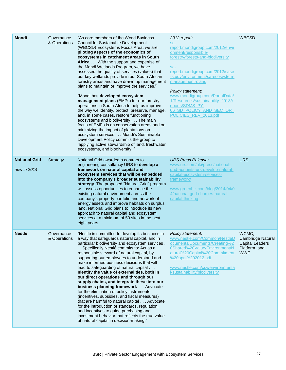| <b>Mondi</b>                        | Governance<br>& Operations | "As core members of the World Business<br><b>Council for Sustainable Development</b><br>(WBCSD) Ecosystems Focus Area, we are<br>piloting aspects of the economics of<br>ecosystems in catchment areas in South<br>Africa With the support and expertise of<br>the Mondi Wetlands Program, we have<br>assessed the quality of services (values) that<br>our key wetlands provide in our South African<br>forestry areas and have drawn up management<br>plans to maintain or improve the services."<br>"Mondi has developed ecosystem<br>management plans (EMPs) for our forestry<br>operations in South Africa to help us improve<br>the way we identify, protect, preserve, manage,<br>and, in some cases, restore functioning<br>ecosystems and biodiversity The main<br>focus of EMPs is on conservation areas and on<br>minimizing the impact of plantations on<br>ecosystem services Mondi's Sustainable<br>Development Policy commits the group to<br>'applying active stewardship of land, freshwater<br>ecosystems, and biodiversity." | 2012 report:<br>sd-<br>report.mondigroup.com/2012/envir<br>onment/responsible-<br>forestry/forests-and-biodiversity<br>sd-<br>report.mondigroup.com/2012/case<br>-study/environment/sa-ecosystem-<br>management-plans<br>Policy statement:<br>www.mondigroup.com/PortalData/<br>1/Resources/sustainability_2013/r<br>eports/SDMS_PY-<br>06 SD POLICY AND SECTOR<br>POLICIES_REV_2013.pdf | <b>WBCSD</b>                                                                 |
|-------------------------------------|----------------------------|-------------------------------------------------------------------------------------------------------------------------------------------------------------------------------------------------------------------------------------------------------------------------------------------------------------------------------------------------------------------------------------------------------------------------------------------------------------------------------------------------------------------------------------------------------------------------------------------------------------------------------------------------------------------------------------------------------------------------------------------------------------------------------------------------------------------------------------------------------------------------------------------------------------------------------------------------------------------------------------------------------------------------------------------------|------------------------------------------------------------------------------------------------------------------------------------------------------------------------------------------------------------------------------------------------------------------------------------------------------------------------------------------------------------------------------------------|------------------------------------------------------------------------------|
| <b>National Grid</b><br>new in 2014 | <b>Strategy</b>            | National Grid awarded a contract to<br>engineering consultancy URS to develop a<br>framework on natural capital and<br>ecosystem services that will be embedded<br>into the company's broader sustainability<br>strategy. The proposed "Natural Grid" program<br>will assess opportunities to enhance the<br>existing natural environment across the<br>company's property portfolio and network of<br>energy assets and improve habitats on surplus<br>land. National Grid plans to introduce its new<br>approach to natural capital and ecosystem<br>services at a minimum of 50 sites in the next<br>eight years.                                                                                                                                                                                                                                                                                                                                                                                                                            | <b>URS Press Release:</b><br>www.urs.com/uki/press/national-<br>grid-appoints-urs-develop-natural-<br>capital-ecosystem-services-<br>framework/<br>www.greenbiz.com/blog/2014/04/0<br>4/national-grid-charges-natural-<br>capital-thinking                                                                                                                                               | <b>URS</b>                                                                   |
| <b>Nestlé</b>                       | Governance<br>& Operations | "Nestlé is committed to develop its business in<br>a way that safeguards natural capital, and in<br>particular biodiversity and ecosystem services.<br>Specifically Nestlé commits to: Act as a<br>responsible steward of natural capital, by<br>supporting our employees to understand and<br>make informed business decisions that will<br>lead to safeguarding of natural capital<br>Identify the value of externalities, both in<br>our direct operations and through our<br>supply chains, and integrate these into our<br>business planning framework Advocate<br>for the elimination of policy instruments<br>(incentives, subsidies, and fiscal measures)<br>that are harmful to natural capital Advocate<br>for the introduction of standards, regulation,<br>and incentives to guide purchasing and<br>investment behavior that reflects the true value<br>of natural capital in decision-making."                                                                                                                                    | Policy statement:<br>www.nestle.com/Common/NestleD<br>ocuments/Documents/Creating%2<br>0Shared%20Value/Environment/N<br>atural%20Capital%20Commitment<br>%20april%202012.pdf<br>www.nestle.com/csv/environmenta<br>I-sustainability/biodiversity                                                                                                                                         | WCMC,<br>Cambridge Natural<br>Capital Leaders<br>Platform, and<br><b>WWF</b> |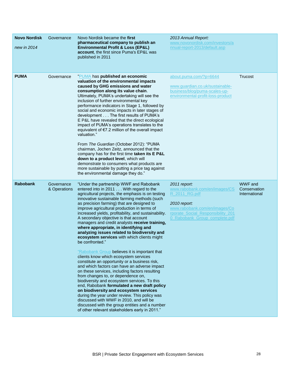| <b>Novo Nordisk</b><br>new in 2014 | Governance                 | Novo Nordisk became the first<br>pharmaceutical company to publish an<br><b>Environmental Profit &amp; Loss (EP&amp;L)</b><br>account, the first since Puma's EP&L was<br>published in 2011                                                                                                                                                                                                                                                                                                                                                                                                                              | 2013 Annual Report:<br>www.novonordisk.com/investors/a<br>nnual-report-2013/default.asp                                                                                               |                                                 |
|------------------------------------|----------------------------|--------------------------------------------------------------------------------------------------------------------------------------------------------------------------------------------------------------------------------------------------------------------------------------------------------------------------------------------------------------------------------------------------------------------------------------------------------------------------------------------------------------------------------------------------------------------------------------------------------------------------|---------------------------------------------------------------------------------------------------------------------------------------------------------------------------------------|-------------------------------------------------|
| <b>PUMA</b>                        | Governance                 | "PUMA has published an economic<br>valuation of the environmental impacts<br>caused by GHG emissions and water<br>consumption along its value chain.<br>Ultimately, PUMA's undertaking will see the<br>inclusion of further environmental key<br>performance indicators in Stage 1, followed by<br>social and economic impacts in later stages of<br>development The first results of PUMA's<br>E P&L have revealed that the direct ecological<br>impact of PUMA's operations translates to the<br>equivalent of €7.2 million of the overall impact<br>valuation."<br>From The Guardian (October 2012): "PUMA            | about.puma.com/?p=6644<br>www.guardian.co.uk/sustainable-<br>business/blog/puma-scales-up-<br>environmental-profit-loss-product                                                       | Trucost                                         |
|                                    |                            | chairman, Jochen Zeitz, announced that the<br>company has for the first time taken its E P&L<br>down to a product level, which will<br>demonstrate to consumers what products are<br>more sustainable by putting a price tag against<br>the environmental damage they do."                                                                                                                                                                                                                                                                                                                                               |                                                                                                                                                                                       |                                                 |
| <b>Rabobank</b>                    | Governance<br>& Operations | "Under the partnership WWF and Rabobank<br>entered into in 2011 With regard to the<br>agricultural projects, the emphasis is on testing<br>innovative sustainable farming methods (such<br>as precision farming) that are designed to<br>improve agricultural production in terms of<br>increased yields, profitability, and sustainability.<br>A secondary objective is that account<br>managers and credit analysts receive training,<br>where appropriate, in identifying and<br>analyzing issues related to biodiversity and<br>ecosystem services with which clients might<br>be confronted."                       | 2011 report:<br>www.rabobank.com/en/images/CS<br>R 2011 RG.pdf<br>2010 report:<br>www.rabobank.com/en/images/Co<br>rporate_Social_Responsibility_201<br>0 Rabobank Group complete.pdf | <b>WWF</b> and<br>Conservation<br>International |
|                                    |                            | "Rabobank Group believes it is important that<br>clients know which ecosystem services<br>constitute an opportunity or a business risk,<br>and which factors can have an adverse impact<br>on these services, including factors resulting<br>from changes to, or dependence on,<br>biodiversity and ecosystem services. To this<br>end, Rabobank formulated a new draft policy<br>on biodiversity and ecosystem services<br>during the year under review. This policy was<br>discussed with WWF in 2010, and will be<br>discussed with the group entities and a number<br>of other relevant stakeholders early in 2011." |                                                                                                                                                                                       |                                                 |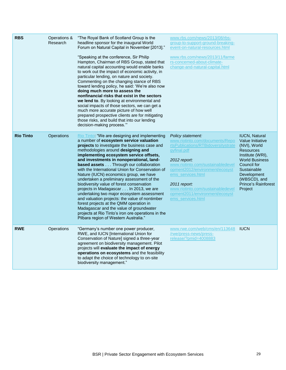| <b>RBS</b>       | Operations &<br>Research | "The Royal Bank of Scotland Group is the<br>headline sponsor for the inaugural World<br>Forum on Natural Capital in November [2013]."<br>"Speaking at the conference, Sir Philip<br>Hampton, Chairman of RBS Group, stated that<br>natural capital accounting would enable banks<br>to work out the impact of economic activity, in<br>particular lending, on nature and society.<br>Commenting on the changing stance of RBS<br>toward lending policy, he said: 'We're also now<br>doing much more to assess the<br>nonfinancial risks that exist in the sectors<br>we lend to. By looking at environmental and<br>social impacts of those sectors, we can get a<br>much more accurate picture of how well<br>prepared prospective clients are for mitigating<br>those risks, and build that into our lending<br>decision-making process."" | www.rbs.com/news/2013/08/rbs-<br>group-to-support-ground-breaking-<br>event-on-natural-resources.html<br>www.rbs.com/news/2013/11/farme<br>rs-concerned-about-climate-<br>change-and-natural-capital.html                                                                                                                          |                                                                                                                                                                                                                                 |
|------------------|--------------------------|----------------------------------------------------------------------------------------------------------------------------------------------------------------------------------------------------------------------------------------------------------------------------------------------------------------------------------------------------------------------------------------------------------------------------------------------------------------------------------------------------------------------------------------------------------------------------------------------------------------------------------------------------------------------------------------------------------------------------------------------------------------------------------------------------------------------------------------------|------------------------------------------------------------------------------------------------------------------------------------------------------------------------------------------------------------------------------------------------------------------------------------------------------------------------------------|---------------------------------------------------------------------------------------------------------------------------------------------------------------------------------------------------------------------------------|
| <b>Rio Tinto</b> | Operations               | Rio Tinto: "We are designing and implementing<br>a number of ecosystem service valuation<br>projects to investigate the business case and<br>methodologies around designing and<br>implementing ecosystem service offsets,<br>and investments in nonoperational, land-<br>based assets Through our collaboration<br>with the International Union for Conservation of<br>Nature (IUCN) economics group, we have<br>undertaken a preliminary assessment of the<br>biodiversity value of forest conservation<br>projects in Madagascar In 2013, we are<br>undertaking two major ecosystem assessment<br>and valuation projects: the value of nontimber<br>forest projects at the QMM operation in<br>Madagascar and the value of groundwater<br>projects at Rio Tinto's iron ore operations in the<br>Pilbara region of Western Australia."     | Policy statement:<br>www.riotinto.com/documents/Repo<br>rtsPublications/RTBidoversitystrate<br>gyfinal.pdf<br>2012 report:<br>www.riotinto.com/sustainabledevel<br>opment2012/environment/ecosyst<br>ems services.html<br>2011 report:<br>www.riotinto.com/sustainabledevel<br>opment2011/environment/ecosyst<br>ems_services.html | <b>IUCN, Natural</b><br>Value Initiative<br>(NVI), World<br><b>Resources</b><br>Institute (WRI),<br><b>World Business</b><br>Council for<br>Sustainable<br>Development<br>(WBSCD), and<br><b>Prince's Rainforest</b><br>Project |
| <b>RWE</b>       | Operations               | "Germany's number one power producer,<br>RWE, and IUCN [International Union for<br>Conservation of Nature] signed a three-year<br>agreement on biodiversity management. Pilot<br>projects will evaluate the impact of energy<br>operations on ecosystems and the feasibility<br>to adapt the choice of technology to on-site<br>biodiversity management."                                                                                                                                                                                                                                                                                                                                                                                                                                                                                    | www.rwe.com/web/cms/en/113648<br>/rwe/press-news/press-<br>release/?pmid=4008883                                                                                                                                                                                                                                                   | <b>IUCN</b>                                                                                                                                                                                                                     |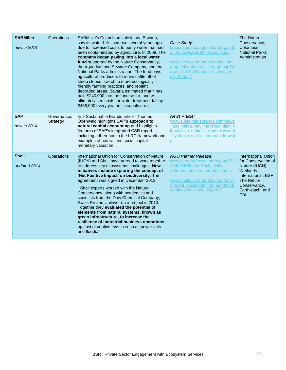| <b>SABMiller</b><br>new in 2014 | <b>Operations</b>       | SABMiller's Colombian subsidiary, Bavaria,<br>saw its water bills increase several years ago<br>due to increased costs to purify water that had<br>been contaminated by agriculture. In 2009, The<br>company began paying into a local water<br>fund supported by the Nature Conservancy,<br>the Aqueduct and Sewage Company, and the<br>National Parks administration. The fund pays<br>agricultural producers to move cattle off of<br>steep slopes, switch to more ecologically<br>friendly farming practices, and replant<br>degraded areas. Bavaria estimated that it has<br>paid \$240,000 into the fund so far, and will<br>ultimately see costs for water treatment fall by<br>\$458,000 every year in its supply area. | Case Study:<br>landscapes.ecoagriculture.org/glob<br>al review/sabmiller case study<br>www.ecosystemmarketplace.com/<br>pages/dynamic/article.page.php?p<br>age id=10146&section=news arti<br>cles&eod=1                          | <b>The Nature</b><br>Conservancy,<br>Colombian<br><b>National Parks</b><br>Administration                                                                             |
|---------------------------------|-------------------------|---------------------------------------------------------------------------------------------------------------------------------------------------------------------------------------------------------------------------------------------------------------------------------------------------------------------------------------------------------------------------------------------------------------------------------------------------------------------------------------------------------------------------------------------------------------------------------------------------------------------------------------------------------------------------------------------------------------------------------|-----------------------------------------------------------------------------------------------------------------------------------------------------------------------------------------------------------------------------------|-----------------------------------------------------------------------------------------------------------------------------------------------------------------------|
| <b>SAP</b><br>new in 2014       | Governance,<br>Strategy | In a Sustainable Brands article, Thomas<br>Odenwald highlights SAP's approach to<br>natural capital accounting and highlights<br>features of SAP's integrated CSR report,<br>including adherence to the IIRC framework and<br>examples of natural and social capital<br>monetary valuation.                                                                                                                                                                                                                                                                                                                                                                                                                                     | News Article:<br>www.sustainablebrands.com/news<br>and views/new metrics/dimitar v<br>lahov/let's make it more relevant<br>systemic sap's thomas odenwal<br>$\underline{d}$                                                       |                                                                                                                                                                       |
| <b>Shell</b><br>updated 2014    | <b>Operations</b>       | International Union for Conservation of Nature<br>(IUCN) and Shell have agreed to work together<br>to address key ecosystems challenges. New<br>initiatives include exploring the concept of<br>'Net Positive Impact' on biodiversity. The<br>agreement was signed in December 2013.<br>"Shell experts worked with the Nature<br>Conservancy, along with academics and<br>scientists from the Dow Chemical Company,<br>Swiss Re and Unilever on a project in 2013.<br>Together they evaluated the potential of<br>elements from natural systems, known as<br>green infrastructure, to increase the<br>resilience of industrial business operations<br>against disruptive events such as power cuts<br>and floods."              | NGO Partner Release:<br>www.iucn.org/news homepage/?1<br>4248/IUCN-and-Shell-jointly-<br>address-conservation-challenges<br>www.shell.com/home/content/envir<br>onment society/environment/biodi<br>versity/biodiversity experts/ | <b>International Union</b><br>for Conservation of<br>Nature (IUCN),<br>Wetlands<br>International, BSR,<br><b>The Nature</b><br>Conservancy,<br>Earthwatch, and<br>EBI |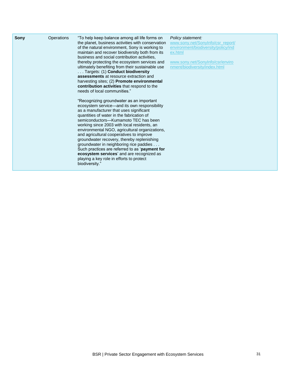| <b>Sony</b> | Operations | "To help keep balance among all life forms on<br>the planet, business activities with conservation<br>of the natural environment, Sony is working to<br>maintain and recover biodiversity both from its<br>business and social contribution activities.<br>thereby protecting the ecosystem services and<br>ultimately benefiting from their sustainable use<br>Targets: (1) Conduct biodiversity<br>assessments at resource extraction and<br>harvesting sites; (2) Promote environmental<br>contribution activities that respond to the<br>needs of local communities."                                                   | Policy statement:<br>www.sony.net/SonyInfo/csr_report/<br>environment/biodiversity/policy/ind<br>ex.html<br>www.sony.net/SonyInfo/csr/enviro<br>nment/biodiversity/index.html |
|-------------|------------|-----------------------------------------------------------------------------------------------------------------------------------------------------------------------------------------------------------------------------------------------------------------------------------------------------------------------------------------------------------------------------------------------------------------------------------------------------------------------------------------------------------------------------------------------------------------------------------------------------------------------------|-------------------------------------------------------------------------------------------------------------------------------------------------------------------------------|
|             |            | "Recognizing groundwater as an important<br>ecosystem service—and its own responsibility<br>as a manufacturer that uses significant<br>quantities of water in the fabrication of<br>semiconductors-Kumamoto TEC has been<br>working since 2003 with local residents, an<br>environmental NGO, agricultural organizations,<br>and agricultural cooperatives to improve<br>groundwater recovery, thereby replenishing<br>groundwater in neighboring rice paddies<br>Such practices are referred to as 'payment for<br>ecosystem services' and are recognized as<br>playing a key role in efforts to protect<br>biodiversity." |                                                                                                                                                                               |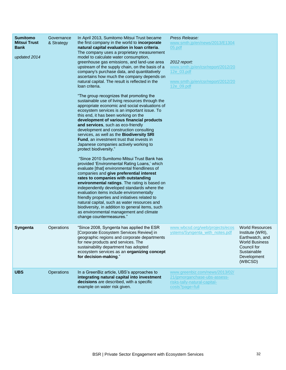| <b>Sumitomo</b><br><b>Mitsui Trust</b><br><b>Bank</b><br>updated 2014 | Governance<br>& Strategy | In April 2013, Sumitomo Mitsui Trust became<br>the first company in the world to incorporate<br>natural capital evaluation in loan criteria.<br>The company uses a proprietary measurement<br>model to calculate water consumption,<br>greenhouse gas emissions, and land-use area<br>upstream of the supply chain, on the basis of a<br>company's purchase data, and quantitatively<br>ascertains how much the company depends on<br>natural capital. The result is reflected in the<br>loan criteria.<br>"The group recognizes that promoting the<br>sustainable use of living resources through the<br>appropriate economic and social evaluations of<br>ecosystem services is an important issue. To<br>this end, it has been working on the<br>development of various financial products<br>and services, such as eco-friendly<br>development and construction consulting<br>services, as well as the Biodiversity SRI<br><b>Fund, an investment trust that invests in</b><br>Japanese companies actively working to<br>protect biodiversity."<br>"Since 2010 Sumitomo Mitsui Trust Bank has<br>provided 'Environmental Rating Loans,' which<br>evaluate [that] environmental friendliness of<br>companies and give preferential interest<br>rates to companies with outstanding<br>environmental ratings. The rating is based on<br>independently developed standards where the<br>evaluation items include environmentally<br>friendly properties and initiatives related to<br>natural capital, such as water resources and<br>biodiversity, in addition to general items, such<br>as environmental management and climate<br>change countermeasures." | Press Release:<br>www.smth.jp/en/news/2013/E1304<br>05.pdf<br>2012 report:<br>www.smth.jp/en/csr/report/2012/20<br>12e 03.pdf<br>www.smth.jp/en/csr/report/2012/20<br>12e_09.pdf |                                                                                                                                                |
|-----------------------------------------------------------------------|--------------------------|----------------------------------------------------------------------------------------------------------------------------------------------------------------------------------------------------------------------------------------------------------------------------------------------------------------------------------------------------------------------------------------------------------------------------------------------------------------------------------------------------------------------------------------------------------------------------------------------------------------------------------------------------------------------------------------------------------------------------------------------------------------------------------------------------------------------------------------------------------------------------------------------------------------------------------------------------------------------------------------------------------------------------------------------------------------------------------------------------------------------------------------------------------------------------------------------------------------------------------------------------------------------------------------------------------------------------------------------------------------------------------------------------------------------------------------------------------------------------------------------------------------------------------------------------------------------------------------------------------------------------------------------------------------|----------------------------------------------------------------------------------------------------------------------------------------------------------------------------------|------------------------------------------------------------------------------------------------------------------------------------------------|
| <b>Syngenta</b>                                                       | Operations               | "Since 2008, Syngenta has applied the ESR<br>[Corporate Ecosystem Services Review] in<br>geographic regions and corporate departments<br>for new products and services. The<br>sustainability department has adopted<br>ecosystem services as an organizing concept<br>for decision-making."                                                                                                                                                                                                                                                                                                                                                                                                                                                                                                                                                                                                                                                                                                                                                                                                                                                                                                                                                                                                                                                                                                                                                                                                                                                                                                                                                                   | www.wbcsd.org/web/projects/ecos<br>ystems/Syngenta with notes.pdf                                                                                                                | <b>World Resources</b><br>Institute (WRI),<br>Earthwatch, and<br><b>World Business</b><br>Council for<br>Sustainable<br>Development<br>(WBCSD) |
| <b>UBS</b>                                                            | <b>Operations</b>        | In a GreenBiz article, UBS's approaches to<br>integrating natural capital into investment<br>decisions are described, with a specific<br>example on water risk given.                                                                                                                                                                                                                                                                                                                                                                                                                                                                                                                                                                                                                                                                                                                                                                                                                                                                                                                                                                                                                                                                                                                                                                                                                                                                                                                                                                                                                                                                                          | www.greenbiz.com/news/2013/02/<br>21/jpmorganchase-ubs-assess-<br>risks-tally-natural-capital-<br>costs?page=full                                                                |                                                                                                                                                |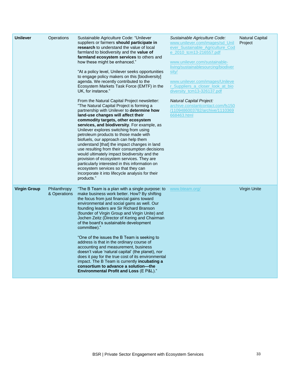| <b>Unilever</b>     | Operations                   | Sustainable Agriculture Code: "Unilever<br>suppliers or farmers should participate in<br>research to understand the value of local<br>farmland to biodiversity and the <b>value of</b><br>farmland ecosystem services to others and<br>how these might be enhanced."<br>"At a policy level, Unilever seeks opportunities<br>to engage policy makers on this [biodiversity]<br>agenda. We recently contributed to the<br>Ecosystem Markets Task Force (EMTF) in the<br>UK, for instance."<br>From the Natural Capital Project newsletter:<br>"The Natural Capital Project is forming a<br>partnership with Unilever to determine how<br>land-use changes will affect their<br>commodity targets, other ecosystem<br>services, and biodiversity. For example, as<br>Unilever explores switching from using<br>petroleum products to those made with<br>biofuels, our approach can help them<br>understand [that] the impact changes in land<br>use resulting from their consumption decisions<br>would ultimately impact biodiversity and the<br>provision of ecosystem services. They are<br>particularly interested in this information on<br>ecosystem services so that they can<br>incorporate it into lifecycle analysis for their<br>products." | Sustainable Agriculture Code:<br>www.unilever.com/images/sd_Unil<br>ever Sustainable Agriculture Cod<br>e 2010 tcm13-216557.pdf<br>www.unilever.com/sustainable-<br>living/sustainablesourcing/biodiver<br>sity/<br>www.unilever.com/images/Unileve<br>r Suppliers a closer look at bio<br>diversity_tcm13-326137.pdf<br><b>Natural Capital Project:</b><br>archive.constantcontact.com/fs150<br>/1109486003782/archive/1110369<br>668463.html | <b>Natural Capital</b><br>Project |
|---------------------|------------------------------|-----------------------------------------------------------------------------------------------------------------------------------------------------------------------------------------------------------------------------------------------------------------------------------------------------------------------------------------------------------------------------------------------------------------------------------------------------------------------------------------------------------------------------------------------------------------------------------------------------------------------------------------------------------------------------------------------------------------------------------------------------------------------------------------------------------------------------------------------------------------------------------------------------------------------------------------------------------------------------------------------------------------------------------------------------------------------------------------------------------------------------------------------------------------------------------------------------------------------------------------------------|------------------------------------------------------------------------------------------------------------------------------------------------------------------------------------------------------------------------------------------------------------------------------------------------------------------------------------------------------------------------------------------------------------------------------------------------|-----------------------------------|
| <b>Virgin Group</b> | Philanthropy<br>& Operations | "The B Team is a plan with a single purpose: to<br>make business work better. How? By shifting<br>the focus from just financial gains toward<br>environmental and social gains as well. Our<br>founding leaders are Sir Richard Branson<br>(founder of Virgin Group and Virgin Unite) and<br>Jochen Zeitz (Director of Kering and Chairman<br>of the board's sustainable development<br>committee)."<br>"One of the issues the B Team is seeking to<br>address is that in the ordinary course of<br>accounting and measurement, business<br>doesn't value 'natural capital' (the planet), nor<br>does it pay for the true cost of its environmental<br>impact. The B Team is currently <b>incubating a</b><br>consortium to advance a solution-the<br><b>Environmental Profit and Loss (E P&amp;L)."</b>                                                                                                                                                                                                                                                                                                                                                                                                                                            | www.bteam.org/                                                                                                                                                                                                                                                                                                                                                                                                                                 | <b>Virgin Unite</b>               |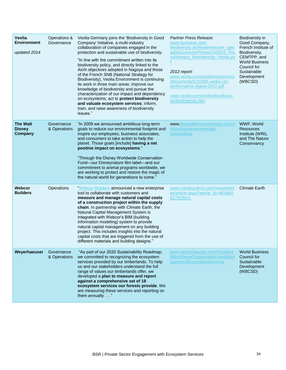| Veolia<br><b>Environment</b><br>updated 2014 | Operations &<br>Governance | Veolia Germany joins the 'Biodiversity in Good<br>Company' Initiative, a multi-industry<br>collaboration of companies engaged in the<br>protection and sustainable use of biodiversity.<br>"In line with the commitment written into its<br>biodiversity policy, and directly linked to the<br>Aichi objectives adopted in Nagoya and those<br>of the French SNB (National Strategy for<br>Biodiversity), Veolia Environment is continuing<br>its work in three main areas: improve our<br>knowledge of biodiversity and pursue the<br>characterization of our impact and dependency<br>on ecosystems; act to protect biodiversity<br>and valuate ecosystem services; inform,<br>train, and raise awareness of biodiversity<br>issues." | Partner Press Release:<br>www.business-and-<br>biodiversity.de/fileadmin/user_uplo<br>ad/documents/Presse/140331_Pre<br>ssRelease Membership Veolia.pd<br>2012 report:<br>www.veolia.com/veolia/ressources<br>/documents/2/16265, veolia-csr-<br>performance-digest-2012.pdf<br>www.veolia.com/en/medias/focus-<br>on/biodiversity.htm | Biodiversity in<br>Good Company,<br>French Institute of<br>Biodiversity,<br>CEMTPP, and<br><b>World Business</b><br>Council for<br>Sustainable<br>Development<br>(WBCSD) |
|----------------------------------------------|----------------------------|-----------------------------------------------------------------------------------------------------------------------------------------------------------------------------------------------------------------------------------------------------------------------------------------------------------------------------------------------------------------------------------------------------------------------------------------------------------------------------------------------------------------------------------------------------------------------------------------------------------------------------------------------------------------------------------------------------------------------------------------|----------------------------------------------------------------------------------------------------------------------------------------------------------------------------------------------------------------------------------------------------------------------------------------------------------------------------------------|--------------------------------------------------------------------------------------------------------------------------------------------------------------------------|
| <b>The Walt</b><br><b>Disney</b><br>Company  | Governance<br>& Operations | "In 2009 we announced ambitious long-term<br>goals to reduce our environmental footprint and<br>inspire our employees, business associates,<br>and consumers to take action to help the<br>planet. Those goals [include] having a net<br>positive impact on ecosystems."<br>"Through the Disney Worldwide Conservation<br>Fund-our Disneynature film label-and our<br>commitment to animal programs worldwide, we<br>are working to protect and restore the magic of<br>the natural world for generations to come."                                                                                                                                                                                                                     | www.thewaltdisneycompany.com/c<br>itizenship/environmental-<br>stewardship                                                                                                                                                                                                                                                             | WWF, World<br><b>Resources</b><br>Institute (WRI),<br>and The Nature<br>Conservancy                                                                                      |
| <b>Webcor</b><br><b>Builders</b>             | Operations                 | "Webcor Builders announced a new enterprise<br>tool to collaborate with customers and<br>measure and manage natural capital costs<br>of a construction project within the supply<br>chain. In partnership with Climate Earth, the<br>Natural Capital Management System is<br>integrated with Webcor's BIM (building<br>information modeling) system to provide<br>natural capital management on any building<br>project. This includes insights into the natural<br>capital costs that are triggered from the use of<br>different materials and building designs."                                                                                                                                                                      | www.constructech.com/news/articl<br>es/article.aspx?article_id=9818&S<br>ECTION=1                                                                                                                                                                                                                                                      | <b>Climate Earth</b>                                                                                                                                                     |
| Weyerhaeuser                                 | Governance<br>& Operations | "As part of our 2020 Sustainability Roadmap,<br>we committed to recognizing the ecosystem<br>services provided by our timberlands. To help<br>us and our stakeholders understand the full<br>range of values our timberlands offer, we<br>developed a plan to measure and report<br>against a comprehensive set of 18<br>ecosystem services our forests provide. We<br>are measuring these services and reporting on<br>them annually"                                                                                                                                                                                                                                                                                                  | www.weyerhaeuser.com/Sustaina<br>bility/Planet/SustainableForestMan<br>agement/EcosystemServices                                                                                                                                                                                                                                       | <b>World Business</b><br>Council for<br>Sustainable<br>Development<br>(WBCSD)                                                                                            |